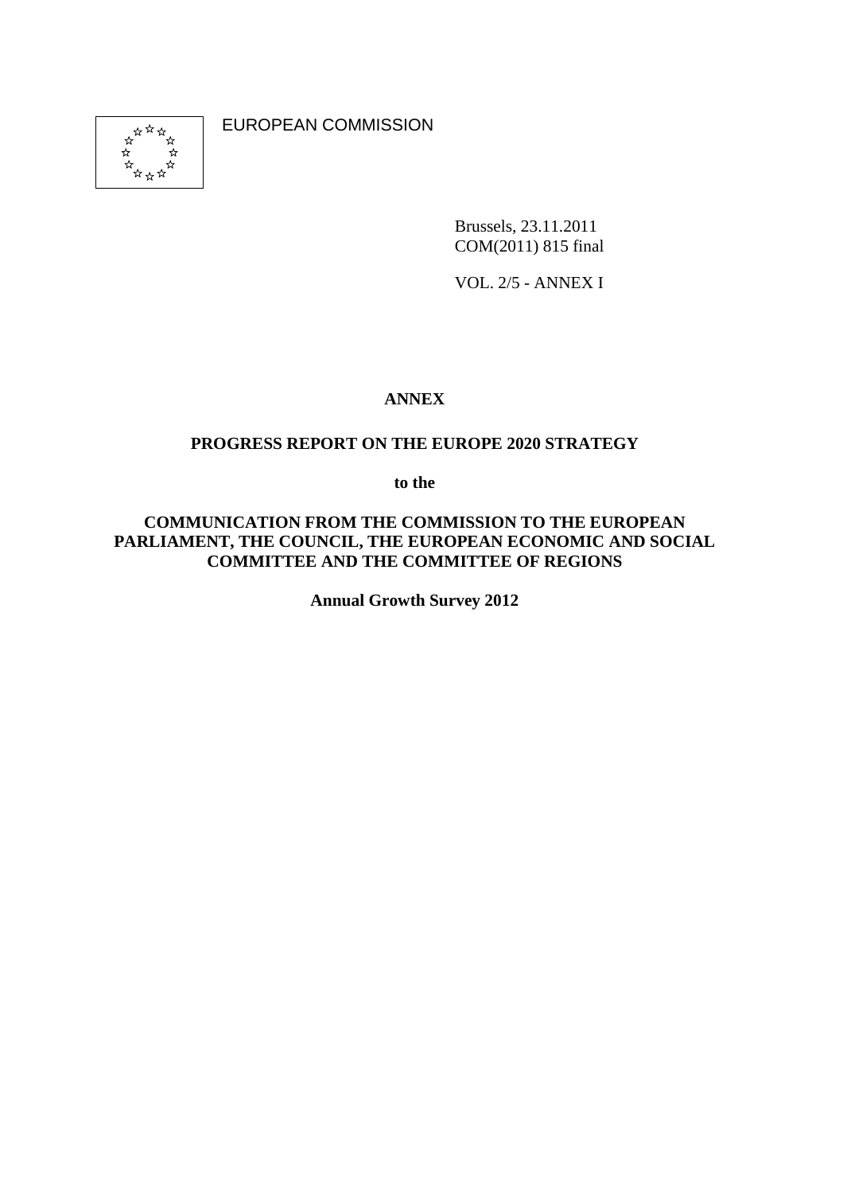

EUROPEAN COMMISSION

Brussels, 23.11.2011 COM(2011) 815 final

VOL. 2/5 - ANNEX I

## **ANNEX**

### **PROGRESS REPORT ON THE EUROPE 2020 STRATEGY**

**to the** 

#### **COMMUNICATION FROM THE COMMISSION TO THE EUROPEAN PARLIAMENT, THE COUNCIL, THE EUROPEAN ECONOMIC AND SOCIAL COMMITTEE AND THE COMMITTEE OF REGIONS**

**Annual Growth Survey 2012**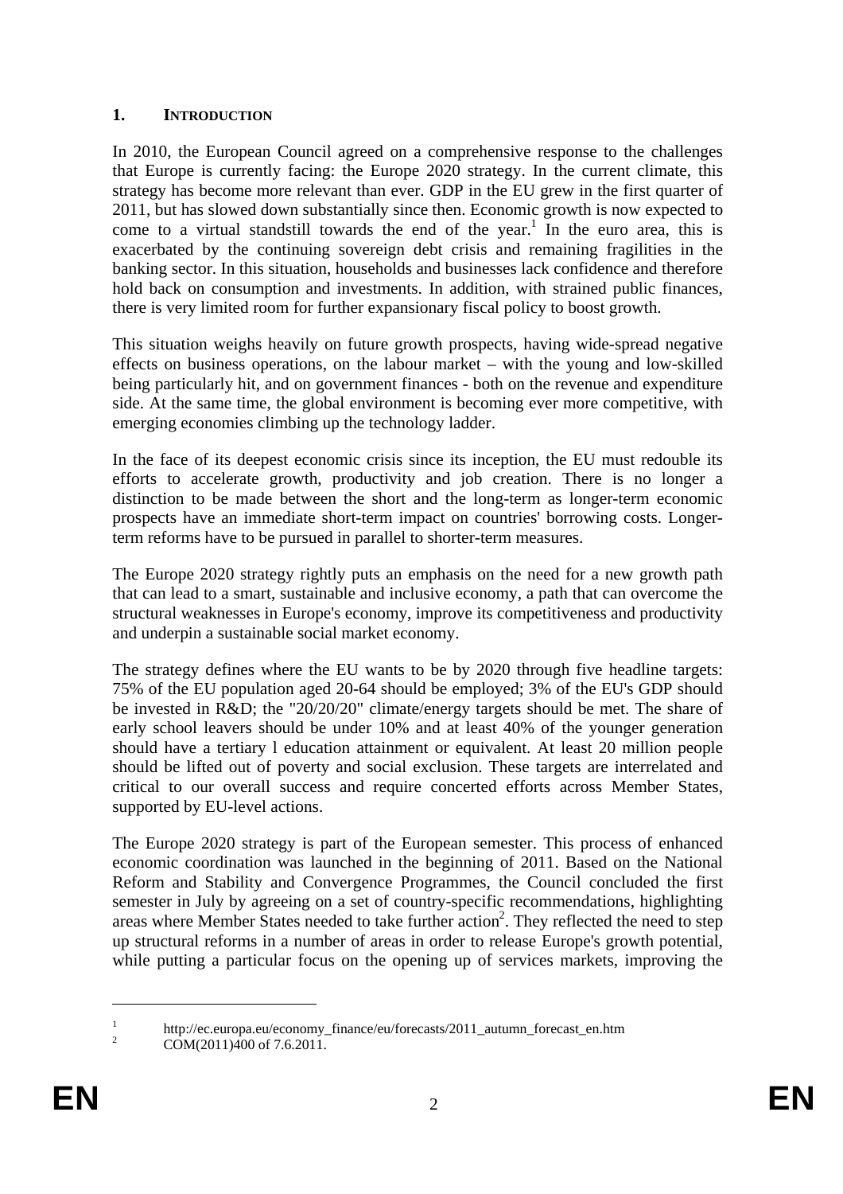#### **1. INTRODUCTION**

In 2010, the European Council agreed on a comprehensive response to the challenges that Europe is currently facing: the Europe 2020 strategy. In the current climate, this strategy has become more relevant than ever. GDP in the EU grew in the first quarter of 2011, but has slowed down substantially since then. Economic growth is now expected to come to a virtual standstill towards the end of the year.<sup>1</sup> In the euro area, this is exacerbated by the continuing sovereign debt crisis and remaining fragilities in the banking sector. In this situation, households and businesses lack confidence and therefore hold back on consumption and investments. In addition, with strained public finances, there is very limited room for further expansionary fiscal policy to boost growth.

This situation weighs heavily on future growth prospects, having wide-spread negative effects on business operations, on the labour market – with the young and low-skilled being particularly hit, and on government finances - both on the revenue and expenditure side. At the same time, the global environment is becoming ever more competitive, with emerging economies climbing up the technology ladder.

In the face of its deepest economic crisis since its inception, the EU must redouble its efforts to accelerate growth, productivity and job creation. There is no longer a distinction to be made between the short and the long-term as longer-term economic prospects have an immediate short-term impact on countries' borrowing costs. Longerterm reforms have to be pursued in parallel to shorter-term measures.

The Europe 2020 strategy rightly puts an emphasis on the need for a new growth path that can lead to a smart, sustainable and inclusive economy, a path that can overcome the structural weaknesses in Europe's economy, improve its competitiveness and productivity and underpin a sustainable social market economy.

The strategy defines where the EU wants to be by 2020 through five headline targets: 75% of the EU population aged 20-64 should be employed; 3% of the EU's GDP should be invested in R&D; the "20/20/20" climate/energy targets should be met. The share of early school leavers should be under 10% and at least 40% of the younger generation should have a tertiary l education attainment or equivalent. At least 20 million people should be lifted out of poverty and social exclusion. These targets are interrelated and critical to our overall success and require concerted efforts across Member States, supported by EU-level actions.

The Europe 2020 strategy is part of the European semester. This process of enhanced economic coordination was launched in the beginning of 2011. Based on the National Reform and Stability and Convergence Programmes, the Council concluded the first semester in July by agreeing on a set of country-specific recommendations, highlighting areas where Member States needed to take further action<sup>2</sup>. They reflected the need to step up structural reforms in a number of areas in order to release Europe's growth potential, while putting a particular focus on the opening up of services markets, improving the

<sup>1</sup> http://ec.europa.eu/economy\_finance/eu/forecasts/2011\_autumn\_forecast\_en.htm

COM(2011)400 of 7.6.2011.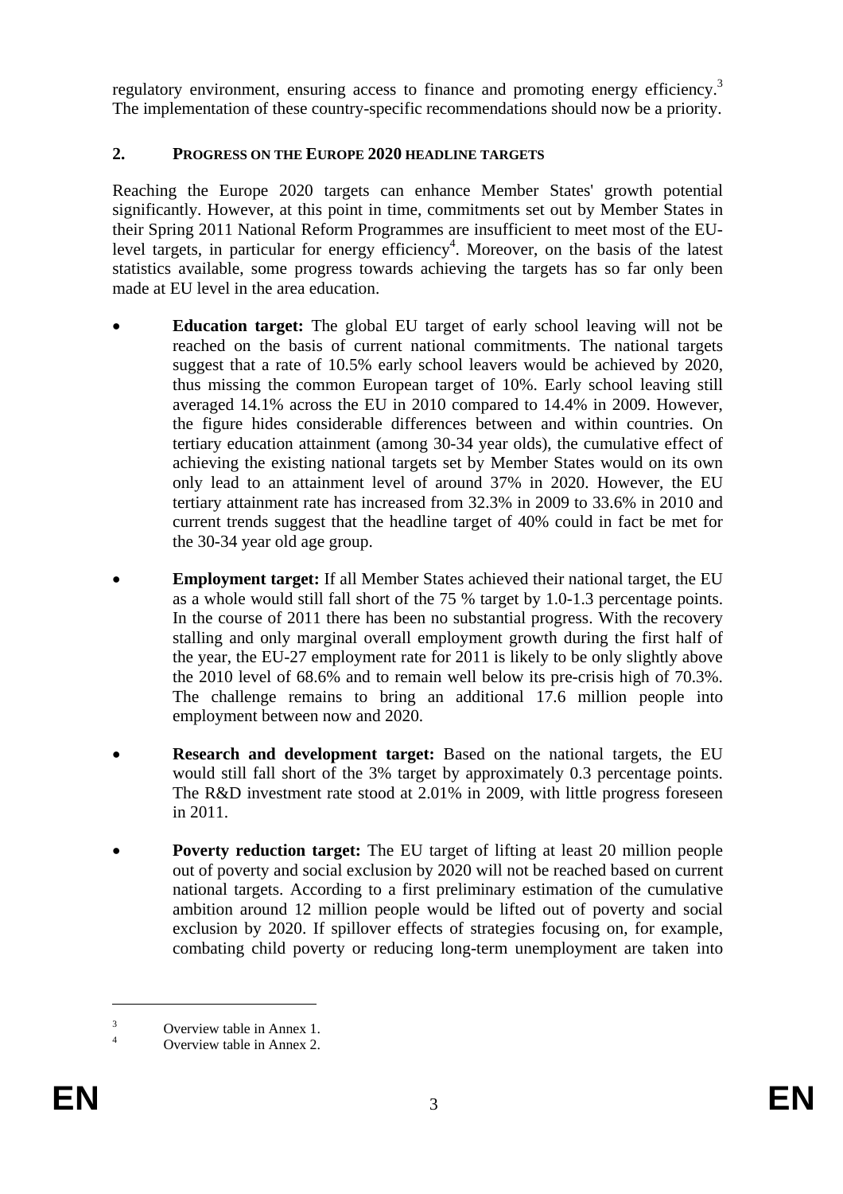regulatory environment, ensuring access to finance and promoting energy efficiency.<sup>3</sup> The implementation of these country-specific recommendations should now be a priority.

## **2. PROGRESS ON THE EUROPE 2020 HEADLINE TARGETS**

Reaching the Europe 2020 targets can enhance Member States' growth potential significantly. However, at this point in time, commitments set out by Member States in their Spring 2011 National Reform Programmes are insufficient to meet most of the EUlevel targets, in particular for energy efficiency<sup>4</sup>. Moreover, on the basis of the latest statistics available, some progress towards achieving the targets has so far only been made at EU level in the area education.

- **Education target:** The global EU target of early school leaving will not be reached on the basis of current national commitments. The national targets suggest that a rate of 10.5% early school leavers would be achieved by 2020, thus missing the common European target of 10%. Early school leaving still averaged 14.1% across the EU in 2010 compared to 14.4% in 2009. However, the figure hides considerable differences between and within countries. On tertiary education attainment (among 30-34 year olds), the cumulative effect of achieving the existing national targets set by Member States would on its own only lead to an attainment level of around 37% in 2020. However, the EU tertiary attainment rate has increased from 32.3% in 2009 to 33.6% in 2010 and current trends suggest that the headline target of 40% could in fact be met for the 30-34 year old age group.
- **Employment target:** If all Member States achieved their national target, the EU as a whole would still fall short of the 75 % target by 1.0-1.3 percentage points. In the course of 2011 there has been no substantial progress. With the recovery stalling and only marginal overall employment growth during the first half of the year, the EU-27 employment rate for 2011 is likely to be only slightly above the 2010 level of 68.6% and to remain well below its pre-crisis high of 70.3%. The challenge remains to bring an additional 17.6 million people into employment between now and 2020.
- **Research and development target:** Based on the national targets, the EU would still fall short of the 3% target by approximately 0.3 percentage points. The R&D investment rate stood at 2.01% in 2009, with little progress foreseen in 2011.
- **Poverty reduction target:** The EU target of lifting at least 20 million people out of poverty and social exclusion by 2020 will not be reached based on current national targets. According to a first preliminary estimation of the cumulative ambition around 12 million people would be lifted out of poverty and social exclusion by 2020. If spillover effects of strategies focusing on, for example, combating child poverty or reducing long-term unemployment are taken into

<sup>3</sup> Overview table in Annex 1.

<sup>4</sup> Overview table in Annex 2.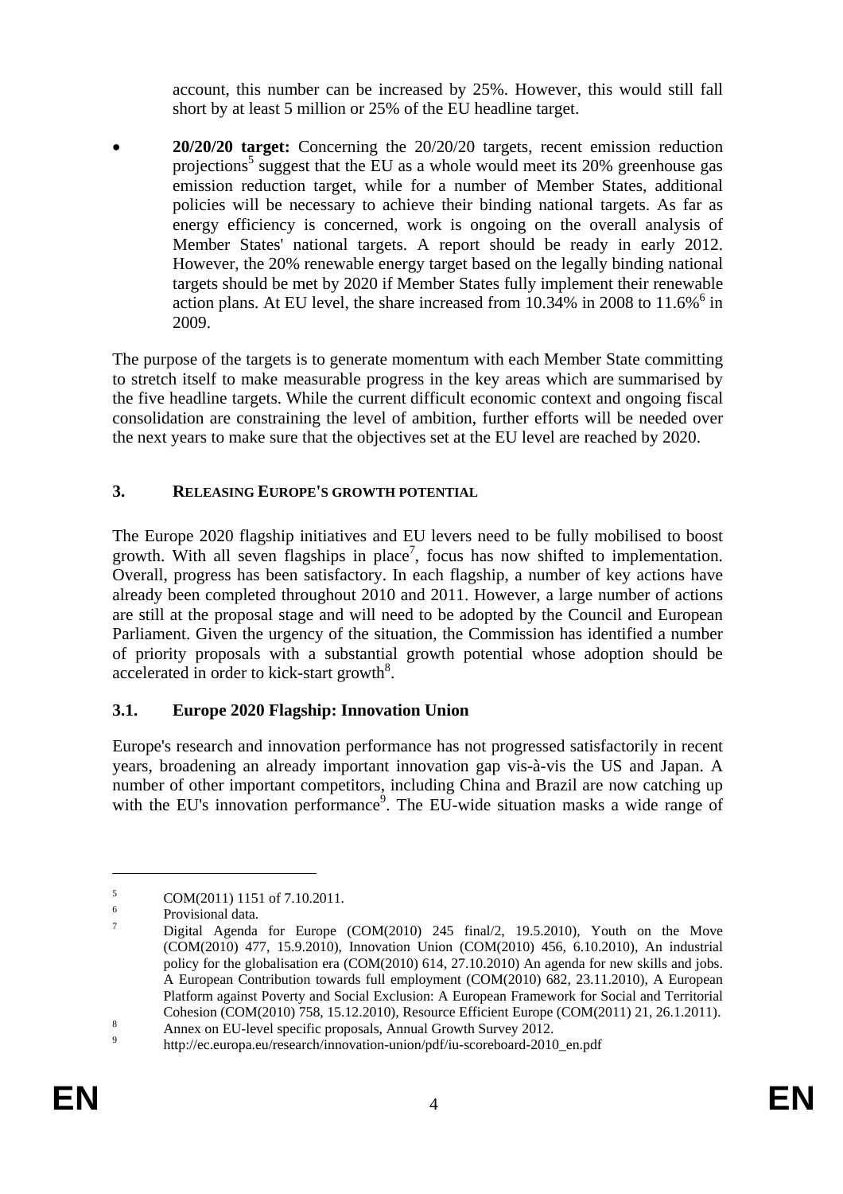account, this number can be increased by 25%. However, this would still fall short by at least 5 million or 25% of the EU headline target.

• **20/20/20 target:** Concerning the 20/20/20 targets, recent emission reduction projections<sup>5</sup> suggest that the EU as a whole would meet its 20% greenhouse gas emission reduction target, while for a number of Member States, additional policies will be necessary to achieve their binding national targets. As far as energy efficiency is concerned, work is ongoing on the overall analysis of Member States' national targets. A report should be ready in early 2012. However, the 20% renewable energy target based on the legally binding national targets should be met by 2020 if Member States fully implement their renewable action plans. At EU level, the share increased from  $10.34\%$  in 2008 to 11.6% $^6$  in 2009.

The purpose of the targets is to generate momentum with each Member State committing to stretch itself to make measurable progress in the key areas which are summarised by the five headline targets. While the current difficult economic context and ongoing fiscal consolidation are constraining the level of ambition, further efforts will be needed over the next years to make sure that the objectives set at the EU level are reached by 2020.

## **3. RELEASING EUROPE'S GROWTH POTENTIAL**

The Europe 2020 flagship initiatives and EU levers need to be fully mobilised to boost growth. With all seven flagships in place<sup>7</sup>, focus has now shifted to implementation. Overall, progress has been satisfactory. In each flagship, a number of key actions have already been completed throughout 2010 and 2011. However, a large number of actions are still at the proposal stage and will need to be adopted by the Council and European Parliament. Given the urgency of the situation, the Commission has identified a number of priority proposals with a substantial growth potential whose adoption should be accelerated in order to kick-start growth<sup>8</sup>.

# **3.1. Europe 2020 Flagship: Innovation Union**

Europe's research and innovation performance has not progressed satisfactorily in recent years, broadening an already important innovation gap vis-à-vis the US and Japan. A number of other important competitors, including China and Brazil are now catching up with the EU's innovation performance<sup>9</sup>. The EU-wide situation masks a wide range of

<sup>5</sup> COM(2011) 1151 of 7.10.2011.

<sup>6</sup> Provisional data.

<sup>7</sup> Digital Agenda for Europe (COM(2010) 245 final/2, 19.5.2010), Youth on the Move (COM(2010) 477, 15.9.2010), Innovation Union (COM(2010) 456, 6.10.2010), An industrial policy for the globalisation era (COM(2010) 614, 27.10.2010) An agenda for new skills and jobs. A European Contribution towards full employment (COM(2010) 682, 23.11.2010), A European Platform against Poverty and Social Exclusion: A European Framework for Social and Territorial Cohesion (COM(2010) 758, 15.12.2010), Resource Efficient Europe (COM(2011) 21, 26.1.2011).

Annex on EU-level specific proposals, Annual Growth Survey 2012.

http://ec.europa.eu/research/innovation-union/pdf/iu-scoreboard-2010\_en.pdf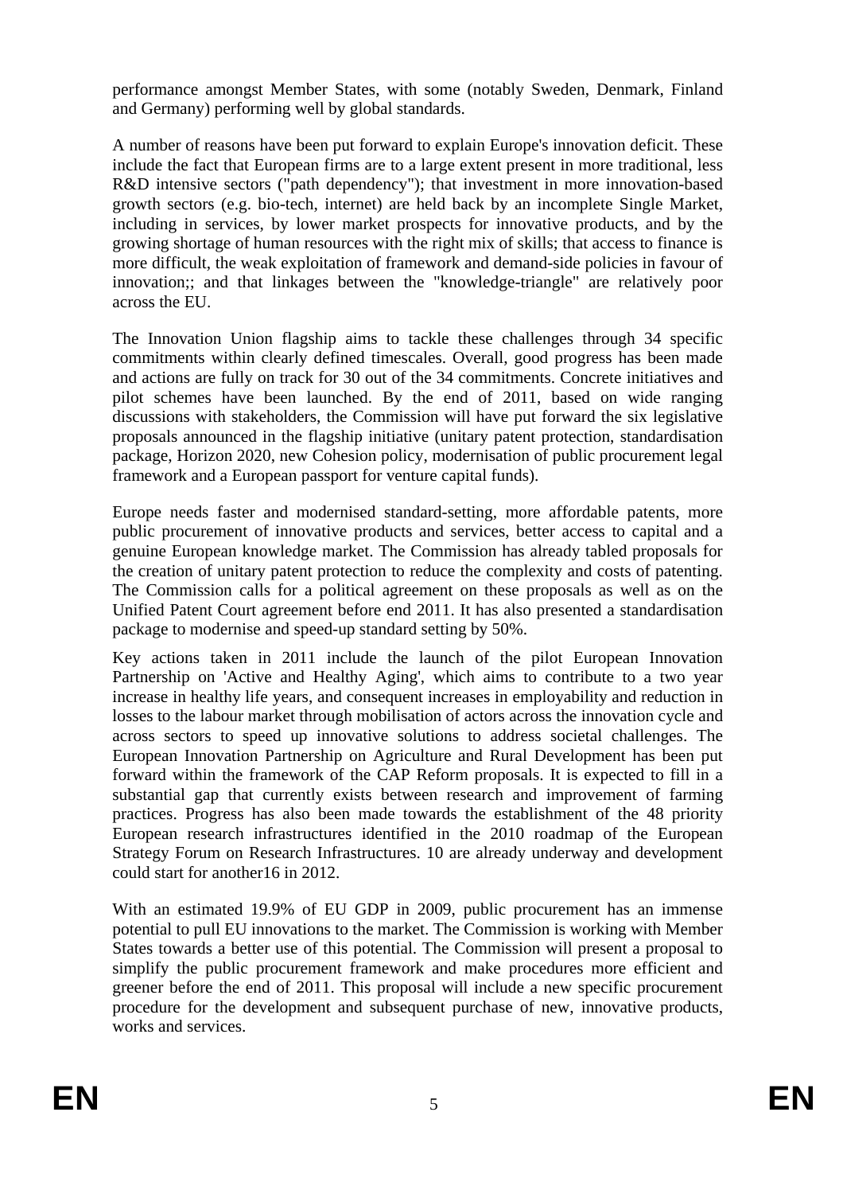performance amongst Member States, with some (notably Sweden, Denmark, Finland and Germany) performing well by global standards.

A number of reasons have been put forward to explain Europe's innovation deficit. These include the fact that European firms are to a large extent present in more traditional, less R&D intensive sectors ("path dependency"); that investment in more innovation-based growth sectors (e.g. bio-tech, internet) are held back by an incomplete Single Market, including in services, by lower market prospects for innovative products, and by the growing shortage of human resources with the right mix of skills; that access to finance is more difficult, the weak exploitation of framework and demand-side policies in favour of innovation;; and that linkages between the "knowledge-triangle" are relatively poor across the EU.

The Innovation Union flagship aims to tackle these challenges through 34 specific commitments within clearly defined timescales. Overall, good progress has been made and actions are fully on track for 30 out of the 34 commitments. Concrete initiatives and pilot schemes have been launched. By the end of 2011, based on wide ranging discussions with stakeholders, the Commission will have put forward the six legislative proposals announced in the flagship initiative (unitary patent protection, standardisation package, Horizon 2020, new Cohesion policy, modernisation of public procurement legal framework and a European passport for venture capital funds).

Europe needs faster and modernised standard-setting, more affordable patents, more public procurement of innovative products and services, better access to capital and a genuine European knowledge market. The Commission has already tabled proposals for the creation of unitary patent protection to reduce the complexity and costs of patenting. The Commission calls for a political agreement on these proposals as well as on the Unified Patent Court agreement before end 2011. It has also presented a standardisation package to modernise and speed-up standard setting by 50%.

Key actions taken in 2011 include the launch of the pilot European Innovation Partnership on 'Active and Healthy Aging', which aims to contribute to a two year increase in healthy life years, and consequent increases in employability and reduction in losses to the labour market through mobilisation of actors across the innovation cycle and across sectors to speed up innovative solutions to address societal challenges. The European Innovation Partnership on Agriculture and Rural Development has been put forward within the framework of the CAP Reform proposals. It is expected to fill in a substantial gap that currently exists between research and improvement of farming practices. Progress has also been made towards the establishment of the 48 priority European research infrastructures identified in the 2010 roadmap of the European Strategy Forum on Research Infrastructures. 10 are already underway and development could start for another16 in 2012.

With an estimated 19.9% of EU GDP in 2009, public procurement has an immense potential to pull EU innovations to the market. The Commission is working with Member States towards a better use of this potential. The Commission will present a proposal to simplify the public procurement framework and make procedures more efficient and greener before the end of 2011. This proposal will include a new specific procurement procedure for the development and subsequent purchase of new, innovative products, works and services.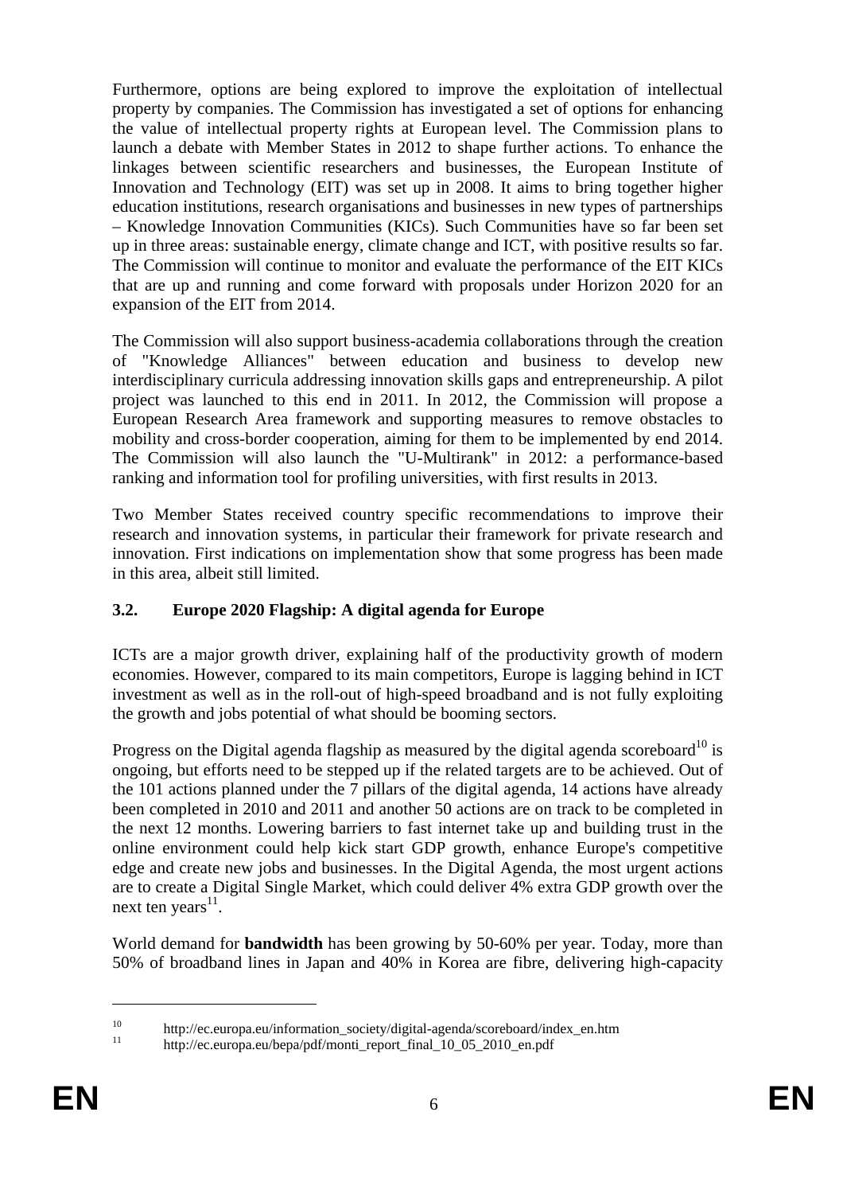Furthermore, options are being explored to improve the exploitation of intellectual property by companies. The Commission has investigated a set of options for enhancing the value of intellectual property rights at European level. The Commission plans to launch a debate with Member States in 2012 to shape further actions. To enhance the linkages between scientific researchers and businesses, the European Institute of Innovation and Technology (EIT) was set up in 2008. It aims to bring together higher education institutions, research organisations and businesses in new types of partnerships – Knowledge Innovation Communities (KICs). Such Communities have so far been set up in three areas: sustainable energy, climate change and ICT, with positive results so far. The Commission will continue to monitor and evaluate the performance of the EIT KICs that are up and running and come forward with proposals under Horizon 2020 for an expansion of the EIT from 2014.

The Commission will also support business-academia collaborations through the creation of "Knowledge Alliances" between education and business to develop new interdisciplinary curricula addressing innovation skills gaps and entrepreneurship. A pilot project was launched to this end in 2011. In 2012, the Commission will propose a European Research Area framework and supporting measures to remove obstacles to mobility and cross-border cooperation, aiming for them to be implemented by end 2014. The Commission will also launch the "U-Multirank" in 2012: a performance-based ranking and information tool for profiling universities, with first results in 2013.

Two Member States received country specific recommendations to improve their research and innovation systems, in particular their framework for private research and innovation. First indications on implementation show that some progress has been made in this area, albeit still limited.

## **3.2. Europe 2020 Flagship: A digital agenda for Europe**

ICTs are a major growth driver, explaining half of the productivity growth of modern economies. However, compared to its main competitors, Europe is lagging behind in ICT investment as well as in the roll-out of high-speed broadband and is not fully exploiting the growth and jobs potential of what should be booming sectors.

Progress on the Digital agenda flagship as measured by the digital agenda scoreboard<sup>10</sup> is ongoing, but efforts need to be stepped up if the related targets are to be achieved. Out of the 101 actions planned under the 7 pillars of the digital agenda, 14 actions have already been completed in 2010 and 2011 and another 50 actions are on track to be completed in the next 12 months. Lowering barriers to fast internet take up and building trust in the online environment could help kick start GDP growth, enhance Europe's competitive edge and create new jobs and businesses. In the Digital Agenda, the most urgent actions are to create a Digital Single Market, which could deliver 4% extra GDP growth over the next ten years $^{11}$ .

World demand for **bandwidth** has been growing by 50-60% per year. Today, more than 50% of broadband lines in Japan and 40% in Korea are fibre, delivering high-capacity

<sup>&</sup>lt;sup>10</sup> http://ec.europa.eu/information\_society/digital-agenda/scoreboard/index\_en.htm

<sup>11</sup> http://ec.europa.eu/bepa/pdf/monti\_report\_final\_10\_05\_2010\_en.pdf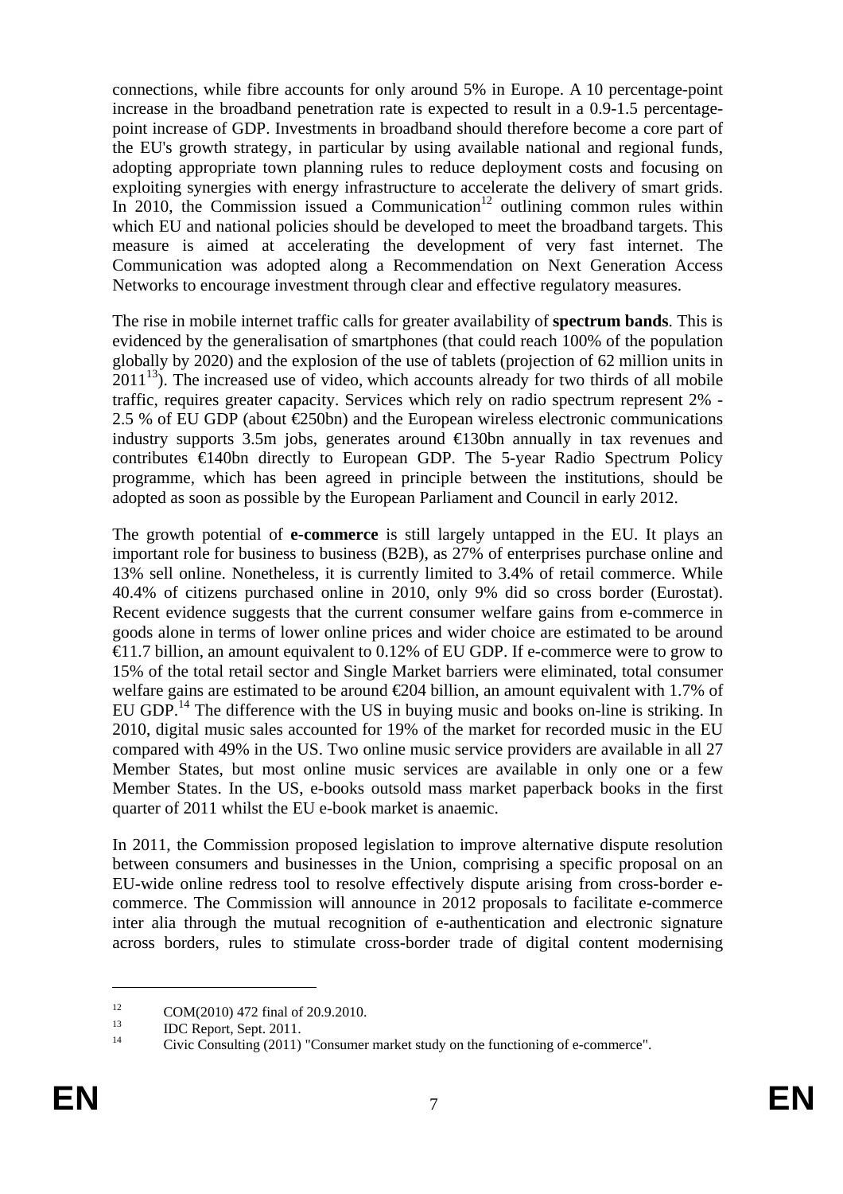connections, while fibre accounts for only around 5% in Europe. A 10 percentage-point increase in the broadband penetration rate is expected to result in a 0.9-1.5 percentagepoint increase of GDP. Investments in broadband should therefore become a core part of the EU's growth strategy, in particular by using available national and regional funds, adopting appropriate town planning rules to reduce deployment costs and focusing on exploiting synergies with energy infrastructure to accelerate the delivery of smart grids. In 2010, the Commission issued a Communication<sup>12</sup> outlining common rules within which EU and national policies should be developed to meet the broadband targets. This measure is aimed at accelerating the development of very fast internet. The Communication was adopted along a Recommendation on Next Generation Access Networks to encourage investment through clear and effective regulatory measures.

The rise in mobile internet traffic calls for greater availability of **spectrum bands**. This is evidenced by the generalisation of smartphones (that could reach 100% of the population globally by 2020) and the explosion of the use of tablets (projection of 62 million units in  $2011^{13}$ ). The increased use of video, which accounts already for two thirds of all mobile traffic, requires greater capacity. Services which rely on radio spectrum represent 2% - 2.5 % of EU GDP (about  $\bigoplus$ 50bn) and the European wireless electronic communications industry supports 3.5m jobs, generates around  $\bigoplus$  30bn annually in tax revenues and contributes €140bn directly to European GDP. The 5-year Radio Spectrum Policy programme, which has been agreed in principle between the institutions, should be adopted as soon as possible by the European Parliament and Council in early 2012.

The growth potential of **e-commerce** is still largely untapped in the EU. It plays an important role for business to business (B2B), as 27% of enterprises purchase online and 13% sell online. Nonetheless, it is currently limited to 3.4% of retail commerce. While 40.4% of citizens purchased online in 2010, only 9% did so cross border (Eurostat). Recent evidence suggests that the current consumer welfare gains from e-commerce in goods alone in terms of lower online prices and wider choice are estimated to be around €11.7 billion, an amount equivalent to 0.12% of EU GDP. If e-commerce were to grow to 15% of the total retail sector and Single Market barriers were eliminated, total consumer welfare gains are estimated to be around  $\epsilon$ 204 billion, an amount equivalent with 1.7% of EU GDP.<sup>14</sup> The difference with the US in buying music and books on-line is striking. In 2010, digital music sales accounted for 19% of the market for recorded music in the EU compared with 49% in the US. Two online music service providers are available in all 27 Member States, but most online music services are available in only one or a few Member States. In the US, e-books outsold mass market paperback books in the first quarter of 2011 whilst the EU e-book market is anaemic.

In 2011, the Commission proposed legislation to improve alternative dispute resolution between consumers and businesses in the Union, comprising a specific proposal on an EU-wide online redress tool to resolve effectively dispute arising from cross-border ecommerce. The Commission will announce in 2012 proposals to facilitate e-commerce inter alia through the mutual recognition of e-authentication and electronic signature across borders, rules to stimulate cross-border trade of digital content modernising

<sup>&</sup>lt;sup>12</sup> COM(2010) 472 final of 20.9.2010.

 $13$  IDC Report, Sept. 2011.

<sup>14</sup> Civic Consulting (2011) "Consumer market study on the functioning of e-commerce".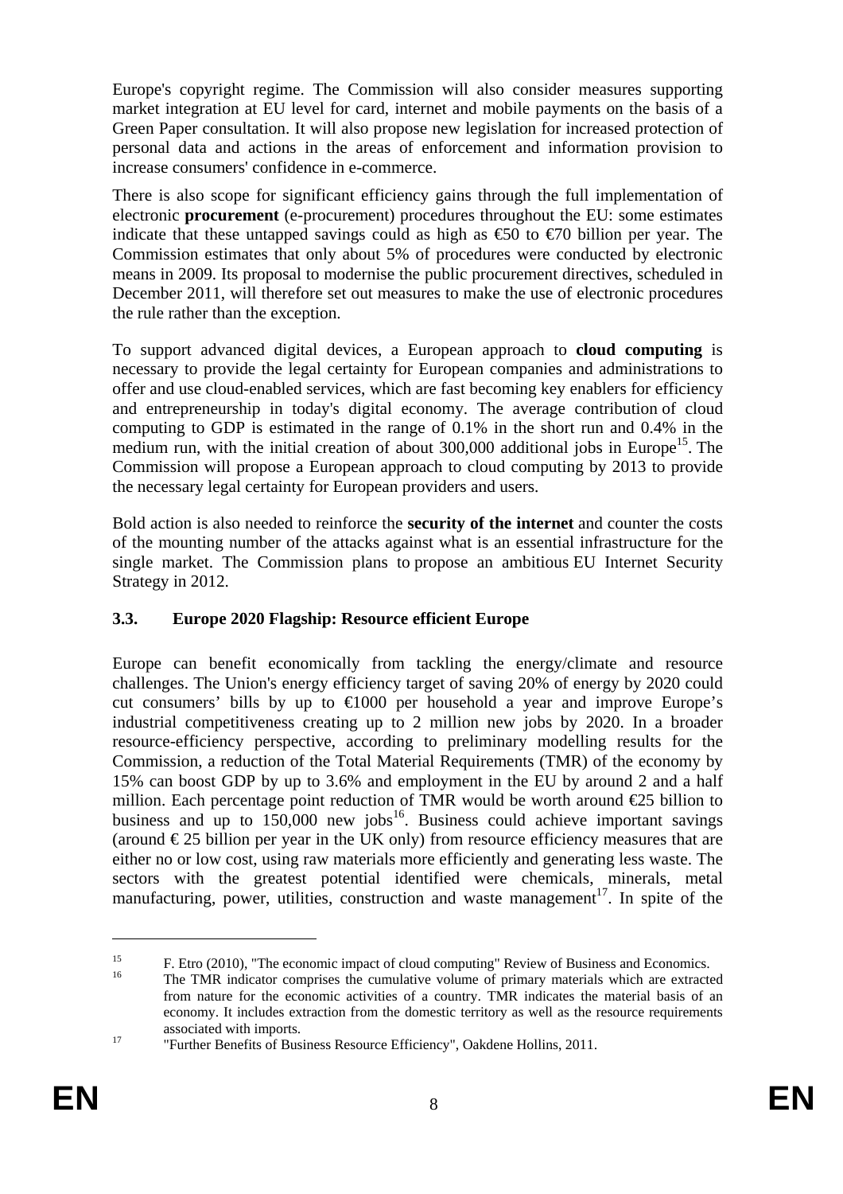Europe's copyright regime. The Commission will also consider measures supporting market integration at EU level for card, internet and mobile payments on the basis of a Green Paper consultation. It will also propose new legislation for increased protection of personal data and actions in the areas of enforcement and information provision to increase consumers' confidence in e-commerce.

There is also scope for significant efficiency gains through the full implementation of electronic **procurement** (e-procurement) procedures throughout the EU: some estimates indicate that these untapped savings could as high as  $\epsilon$ 50 to  $\epsilon$ 70 billion per year. The Commission estimates that only about 5% of procedures were conducted by electronic means in 2009. Its proposal to modernise the public procurement directives, scheduled in December 2011, will therefore set out measures to make the use of electronic procedures the rule rather than the exception.

To support advanced digital devices, a European approach to **cloud computing** is necessary to provide the legal certainty for European companies and administrations to offer and use cloud-enabled services, which are fast becoming key enablers for efficiency and entrepreneurship in today's digital economy. The average contribution of cloud computing to GDP is estimated in the range of 0.1% in the short run and 0.4% in the medium run, with the initial creation of about  $300,000$  additional jobs in Europe<sup>15</sup>. The Commission will propose a European approach to cloud computing by 2013 to provide the necessary legal certainty for European providers and users.

Bold action is also needed to reinforce the **security of the internet** and counter the costs of the mounting number of the attacks against what is an essential infrastructure for the single market. The Commission plans to propose an ambitious EU Internet Security Strategy in 2012.

## **3.3. Europe 2020 Flagship: Resource efficient Europe**

Europe can benefit economically from tackling the energy/climate and resource challenges. The Union's energy efficiency target of saving 20% of energy by 2020 could cut consumers' bills by up to  $\in$ 1000 per household a year and improve Europe's industrial competitiveness creating up to 2 million new jobs by 2020. In a broader resource-efficiency perspective, according to preliminary modelling results for the Commission, a reduction of the Total Material Requirements (TMR) of the economy by 15% can boost GDP by up to 3.6% and employment in the EU by around 2 and a half million. Each percentage point reduction of TMR would be worth around  $\epsilon$ 25 billion to business and up to  $150,000$  new jobs<sup>16</sup>. Business could achieve important savings (around  $\epsilon$ 25 billion per year in the UK only) from resource efficiency measures that are either no or low cost, using raw materials more efficiently and generating less waste. The sectors with the greatest potential identified were chemicals, minerals, metal manufacturing, power, utilities, construction and waste management<sup>17</sup>. In spite of the

<sup>&</sup>lt;sup>15</sup> F. Etro (2010), "The economic impact of cloud computing" Review of Business and Economics.

<sup>16</sup> The TMR indicator comprises the cumulative volume of primary materials which are extracted from nature for the economic activities of a country. TMR indicates the material basis of an economy. It includes extraction from the domestic territory as well as the resource requirements

associated with imports. 17 "Further Benefits of Business Resource Efficiency", Oakdene Hollins, 2011.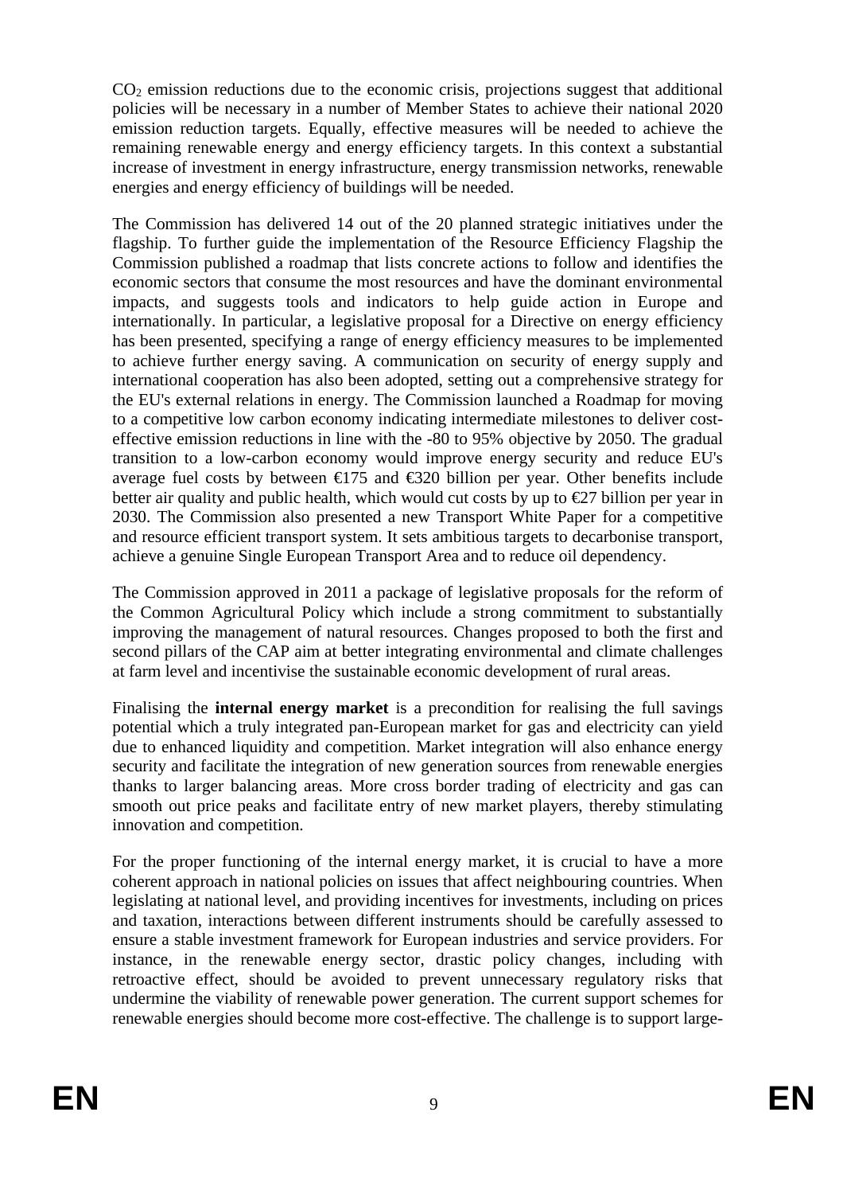$CO<sub>2</sub>$  emission reductions due to the economic crisis, projections suggest that additional policies will be necessary in a number of Member States to achieve their national 2020 emission reduction targets. Equally, effective measures will be needed to achieve the remaining renewable energy and energy efficiency targets. In this context a substantial increase of investment in energy infrastructure, energy transmission networks, renewable energies and energy efficiency of buildings will be needed.

The Commission has delivered 14 out of the 20 planned strategic initiatives under the flagship. To further guide the implementation of the Resource Efficiency Flagship the Commission published a roadmap that lists concrete actions to follow and identifies the economic sectors that consume the most resources and have the dominant environmental impacts, and suggests tools and indicators to help guide action in Europe and internationally. In particular, a legislative proposal for a Directive on energy efficiency has been presented, specifying a range of energy efficiency measures to be implemented to achieve further energy saving. A communication on security of energy supply and international cooperation has also been adopted, setting out a comprehensive strategy for the EU's external relations in energy. The Commission launched a Roadmap for moving to a competitive low carbon economy indicating intermediate milestones to deliver costeffective emission reductions in line with the -80 to 95% objective by 2050. The gradual transition to a low-carbon economy would improve energy security and reduce EU's average fuel costs by between  $\epsilon$ 175 and  $\epsilon$ 320 billion per year. Other benefits include better air quality and public health, which would cut costs by up to  $\epsilon$ 27 billion per year in 2030. The Commission also presented a new Transport White Paper for a competitive and resource efficient transport system. It sets ambitious targets to decarbonise transport, achieve a genuine Single European Transport Area and to reduce oil dependency.

The Commission approved in 2011 a package of legislative proposals for the reform of the Common Agricultural Policy which include a strong commitment to substantially improving the management of natural resources. Changes proposed to both the first and second pillars of the CAP aim at better integrating environmental and climate challenges at farm level and incentivise the sustainable economic development of rural areas.

Finalising the **internal energy market** is a precondition for realising the full savings potential which a truly integrated pan-European market for gas and electricity can yield due to enhanced liquidity and competition. Market integration will also enhance energy security and facilitate the integration of new generation sources from renewable energies thanks to larger balancing areas. More cross border trading of electricity and gas can smooth out price peaks and facilitate entry of new market players, thereby stimulating innovation and competition.

For the proper functioning of the internal energy market, it is crucial to have a more coherent approach in national policies on issues that affect neighbouring countries. When legislating at national level, and providing incentives for investments, including on prices and taxation, interactions between different instruments should be carefully assessed to ensure a stable investment framework for European industries and service providers. For instance, in the renewable energy sector, drastic policy changes, including with retroactive effect, should be avoided to prevent unnecessary regulatory risks that undermine the viability of renewable power generation. The current support schemes for renewable energies should become more cost-effective. The challenge is to support large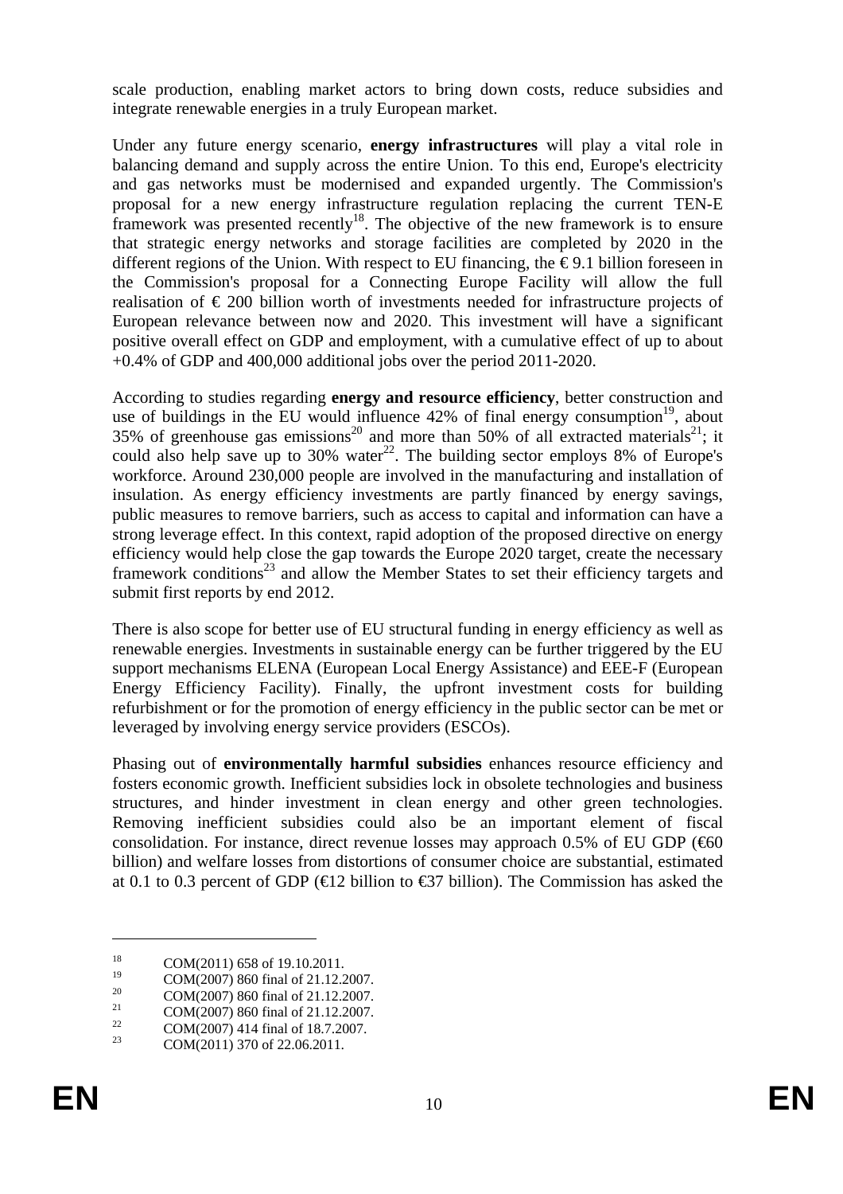scale production, enabling market actors to bring down costs, reduce subsidies and integrate renewable energies in a truly European market.

Under any future energy scenario, **energy infrastructures** will play a vital role in balancing demand and supply across the entire Union. To this end, Europe's electricity and gas networks must be modernised and expanded urgently. The Commission's proposal for a new energy infrastructure regulation replacing the current TEN-E framework was presented recently<sup>18</sup>. The objective of the new framework is to ensure that strategic energy networks and storage facilities are completed by 2020 in the different regions of the Union. With respect to EU financing, the  $\epsilon$ 9.1 billion foreseen in the Commission's proposal for a Connecting Europe Facility will allow the full realisation of € 200 billion worth of investments needed for infrastructure projects of European relevance between now and 2020. This investment will have a significant positive overall effect on GDP and employment, with a cumulative effect of up to about +0.4% of GDP and 400,000 additional jobs over the period 2011-2020.

According to studies regarding **energy and resource efficiency**, better construction and use of buildings in the EU would influence  $42\%$  of final energy consumption<sup>19</sup>, about 35% of greenhouse gas emissions<sup>20</sup> and more than 50% of all extracted materials<sup>21</sup>; it could also help save up to 30% water<sup>22</sup>. The building sector employs 8% of Europe's workforce. Around 230,000 people are involved in the manufacturing and installation of insulation. As energy efficiency investments are partly financed by energy savings, public measures to remove barriers, such as access to capital and information can have a strong leverage effect. In this context, rapid adoption of the proposed directive on energy efficiency would help close the gap towards the Europe 2020 target, create the necessary framework conditions<sup>23</sup> and allow the Member States to set their efficiency targets and submit first reports by end 2012.

There is also scope for better use of EU structural funding in energy efficiency as well as renewable energies. Investments in sustainable energy can be further triggered by the EU support mechanisms ELENA (European Local Energy Assistance) and EEE-F (European Energy Efficiency Facility). Finally, the upfront investment costs for building refurbishment or for the promotion of energy efficiency in the public sector can be met or leveraged by involving energy service providers (ESCOs).

Phasing out of **environmentally harmful subsidies** enhances resource efficiency and fosters economic growth. Inefficient subsidies lock in obsolete technologies and business structures, and hinder investment in clean energy and other green technologies. Removing inefficient subsidies could also be an important element of fiscal consolidation. For instance, direct revenue losses may approach 0.5% of EU GDP ( $60$ ) billion) and welfare losses from distortions of consumer choice are substantial, estimated at 0.1 to 0.3 percent of GDP ( $\in$ 12 billion to  $\in$ 37 billion). The Commission has asked the

<sup>&</sup>lt;sup>18</sup> COM(2011) 658 of 19.10.2011.

<sup>&</sup>lt;sup>19</sup> COM(2007) 860 final of 21.12.2007.

 $20$  COM(2007) 860 final of 21.12.2007.

 $21 \qquad \qquad \text{COM}(2007) \, 860 \text{ final of } 21.12.2007.$ 

 $22 \text{ COM}(2007)$  414 final of 18.7.2007.

<sup>23</sup> COM(2011) 370 of 22.06.2011.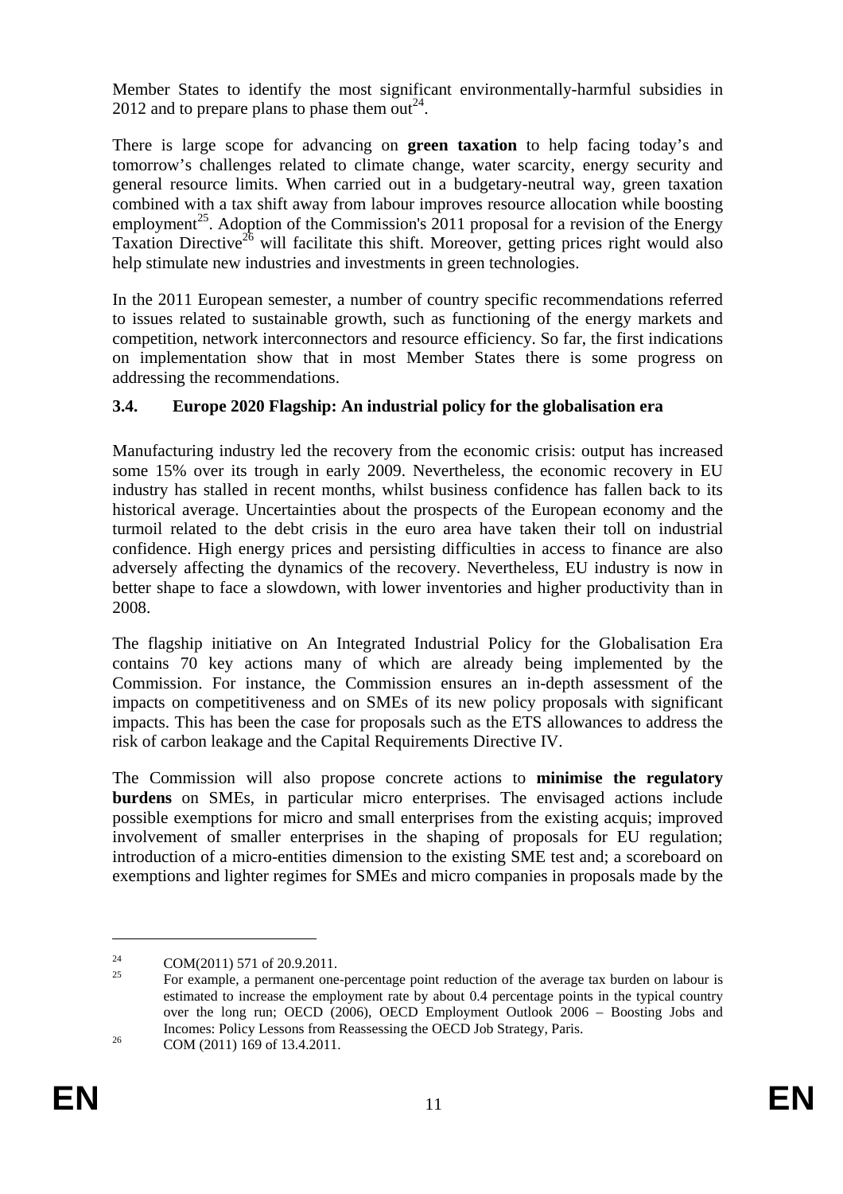Member States to identify the most significant environmentally-harmful subsidies in 2012 and to prepare plans to phase them out<sup>24</sup>.

There is large scope for advancing on **green taxation** to help facing today's and tomorrow's challenges related to climate change, water scarcity, energy security and general resource limits. When carried out in a budgetary-neutral way, green taxation combined with a tax shift away from labour improves resource allocation while boosting employment<sup>25</sup>. Adoption of the Commission's 2011 proposal for a revision of the Energy Taxation Directive<sup>26</sup> will facilitate this shift. Moreover, getting prices right would also help stimulate new industries and investments in green technologies.

In the 2011 European semester, a number of country specific recommendations referred to issues related to sustainable growth, such as functioning of the energy markets and competition, network interconnectors and resource efficiency. So far, the first indications on implementation show that in most Member States there is some progress on addressing the recommendations.

# **3.4. Europe 2020 Flagship: An industrial policy for the globalisation era**

Manufacturing industry led the recovery from the economic crisis: output has increased some 15% over its trough in early 2009. Nevertheless, the economic recovery in EU industry has stalled in recent months, whilst business confidence has fallen back to its historical average. Uncertainties about the prospects of the European economy and the turmoil related to the debt crisis in the euro area have taken their toll on industrial confidence. High energy prices and persisting difficulties in access to finance are also adversely affecting the dynamics of the recovery. Nevertheless, EU industry is now in better shape to face a slowdown, with lower inventories and higher productivity than in 2008.

The flagship initiative on An Integrated Industrial Policy for the Globalisation Era contains 70 key actions many of which are already being implemented by the Commission. For instance, the Commission ensures an in-depth assessment of the impacts on competitiveness and on SMEs of its new policy proposals with significant impacts. This has been the case for proposals such as the ETS allowances to address the risk of carbon leakage and the Capital Requirements Directive IV.

The Commission will also propose concrete actions to **minimise the regulatory burdens** on SMEs, in particular micro enterprises. The envisaged actions include possible exemptions for micro and small enterprises from the existing acquis; improved involvement of smaller enterprises in the shaping of proposals for EU regulation; introduction of a micro-entities dimension to the existing SME test and; a scoreboard on exemptions and lighter regimes for SMEs and micro companies in proposals made by the

<sup>&</sup>lt;sup>24</sup> COM(2011) 571 of 20.9.2011.

<sup>25</sup> For example, a permanent one-percentage point reduction of the average tax burden on labour is estimated to increase the employment rate by about 0.4 percentage points in the typical country over the long run; OECD (2006), OECD Employment Outlook 2006 – Boosting Jobs and Incomes: Policy Lessons from Reassessing the OECD Job Strategy, Paris.<br>COM (2011) 169 of 13.4.2011.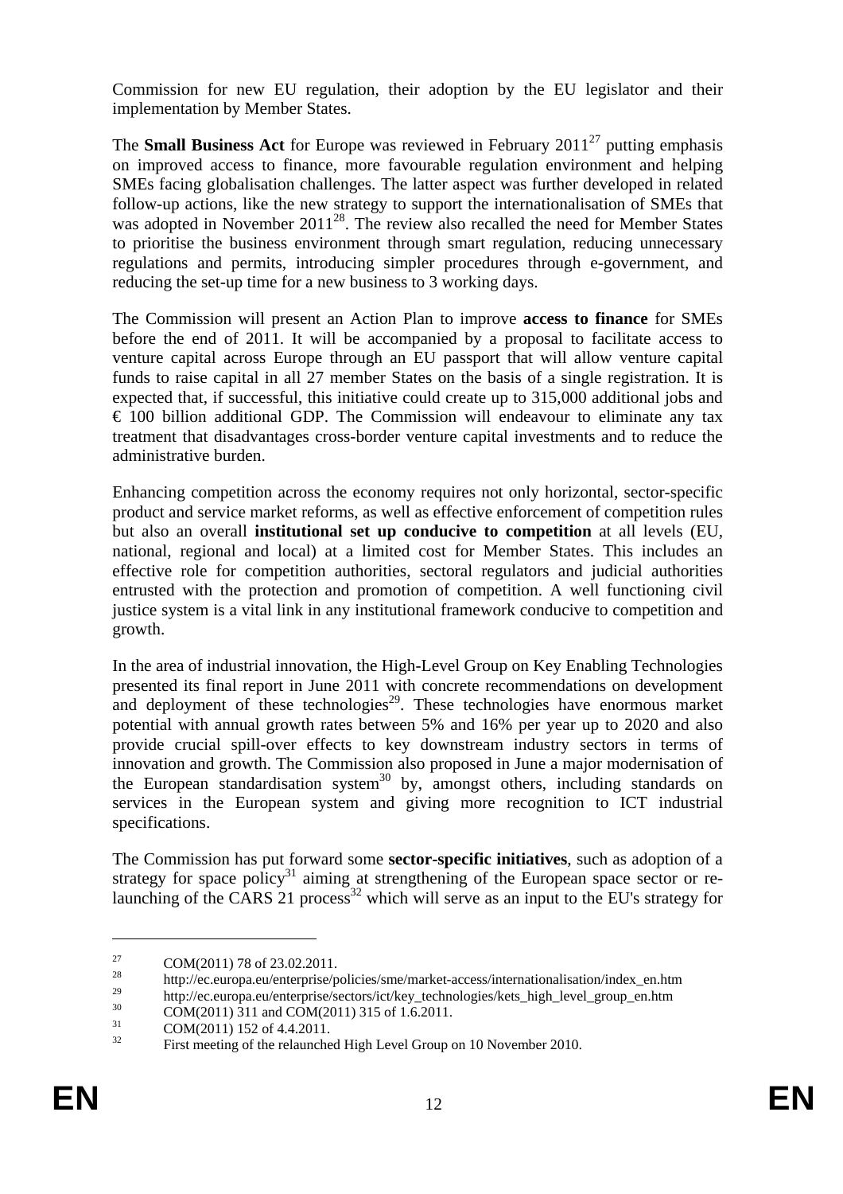Commission for new EU regulation, their adoption by the EU legislator and their implementation by Member States.

The **Small Business Act** for Europe was reviewed in February  $2011^{27}$  putting emphasis on improved access to finance, more favourable regulation environment and helping SMEs facing globalisation challenges. The latter aspect was further developed in related follow-up actions, like the new strategy to support the internationalisation of SMEs that was adopted in November 2011<sup>28</sup>. The review also recalled the need for Member States to prioritise the business environment through smart regulation, reducing unnecessary regulations and permits, introducing simpler procedures through e-government, and reducing the set-up time for a new business to 3 working days.

The Commission will present an Action Plan to improve **access to finance** for SMEs before the end of 2011. It will be accompanied by a proposal to facilitate access to venture capital across Europe through an EU passport that will allow venture capital funds to raise capital in all 27 member States on the basis of a single registration. It is expected that, if successful, this initiative could create up to 315,000 additional jobs and  $\epsilon$  100 billion additional GDP. The Commission will endeavour to eliminate any tax treatment that disadvantages cross-border venture capital investments and to reduce the administrative burden.

Enhancing competition across the economy requires not only horizontal, sector-specific product and service market reforms, as well as effective enforcement of competition rules but also an overall **institutional set up conducive to competition** at all levels (EU, national, regional and local) at a limited cost for Member States. This includes an effective role for competition authorities, sectoral regulators and judicial authorities entrusted with the protection and promotion of competition. A well functioning civil justice system is a vital link in any institutional framework conducive to competition and growth.

In the area of industrial innovation, the High-Level Group on Key Enabling Technologies presented its final report in June 2011 with concrete recommendations on development and deployment of these technologies<sup>29</sup>. These technologies have enormous market potential with annual growth rates between 5% and 16% per year up to 2020 and also provide crucial spill-over effects to key downstream industry sectors in terms of innovation and growth. The Commission also proposed in June a major modernisation of the European standardisation system<sup>30</sup> by, amongst others, including standards on services in the European system and giving more recognition to ICT industrial specifications.

The Commission has put forward some **sector-specific initiatives**, such as adoption of a strategy for space policy<sup>31</sup> aiming at strengthening of the European space sector or relaunching of the CARS 21 process<sup>32</sup> which will serve as an input to the EU's strategy for

<sup>&</sup>lt;sup>27</sup> COM(2011) 78 of 23.02.2011.

<sup>&</sup>lt;sup>28</sup> http://ec.europa.eu/enterprise/policies/sme/market-access/internationalisation/index\_en.htm

<sup>&</sup>lt;sup>29</sup> http://ec.europa.eu/enterprise/sectors/ict/key\_technologies/kets\_high\_level\_group\_en.htm

 $^{30}$  COM(2011) 311 and COM(2011) 315 of 1.6.2011.

 $\frac{31}{32}$  COM(2011) 152 of 4.4.2011.

First meeting of the relaunched High Level Group on 10 November 2010.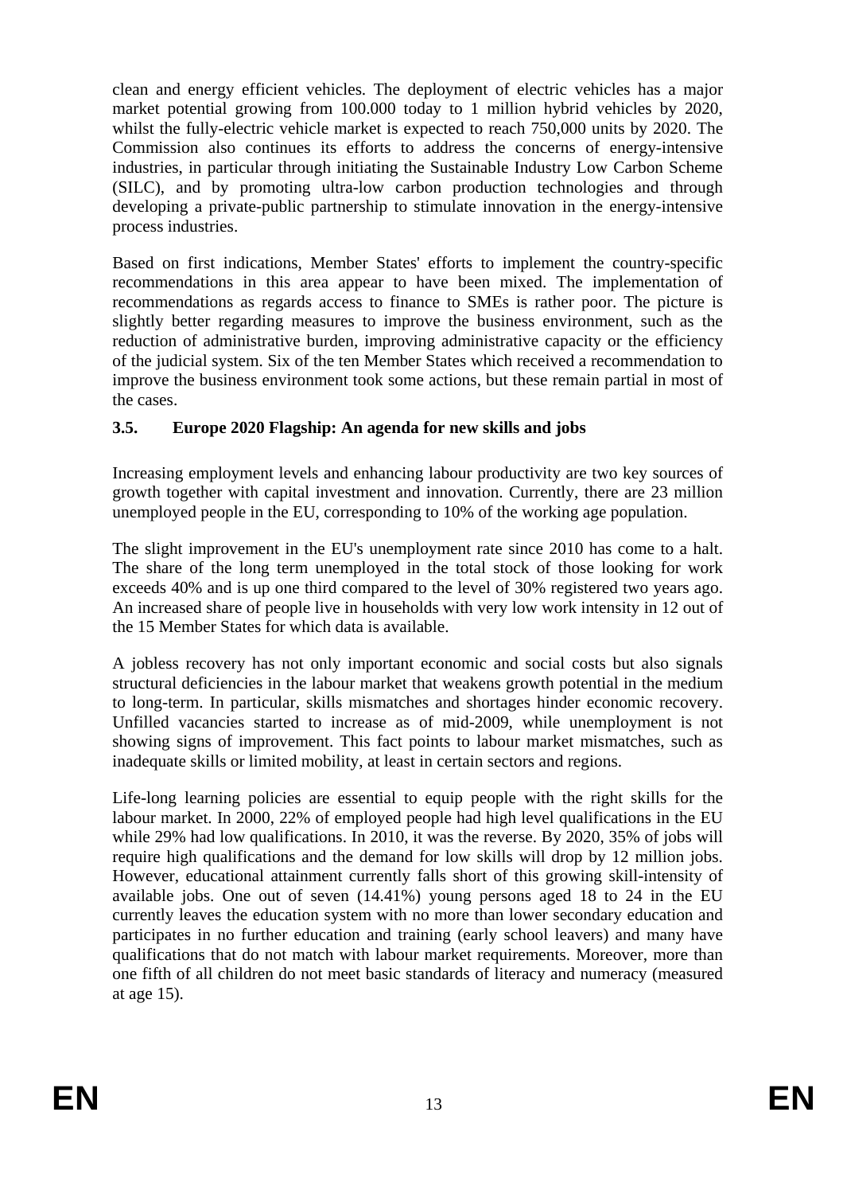clean and energy efficient vehicles. The deployment of electric vehicles has a major market potential growing from 100.000 today to 1 million hybrid vehicles by 2020, whilst the fully-electric vehicle market is expected to reach 750,000 units by 2020. The Commission also continues its efforts to address the concerns of energy-intensive industries, in particular through initiating the Sustainable Industry Low Carbon Scheme (SILC), and by promoting ultra-low carbon production technologies and through developing a private-public partnership to stimulate innovation in the energy-intensive process industries.

Based on first indications, Member States' efforts to implement the country-specific recommendations in this area appear to have been mixed. The implementation of recommendations as regards access to finance to SMEs is rather poor. The picture is slightly better regarding measures to improve the business environment, such as the reduction of administrative burden, improving administrative capacity or the efficiency of the judicial system. Six of the ten Member States which received a recommendation to improve the business environment took some actions, but these remain partial in most of the cases.

# **3.5. Europe 2020 Flagship: An agenda for new skills and jobs**

Increasing employment levels and enhancing labour productivity are two key sources of growth together with capital investment and innovation. Currently, there are 23 million unemployed people in the EU, corresponding to 10% of the working age population.

The slight improvement in the EU's unemployment rate since 2010 has come to a halt. The share of the long term unemployed in the total stock of those looking for work exceeds 40% and is up one third compared to the level of 30% registered two years ago. An increased share of people live in households with very low work intensity in 12 out of the 15 Member States for which data is available.

A jobless recovery has not only important economic and social costs but also signals structural deficiencies in the labour market that weakens growth potential in the medium to long-term. In particular, skills mismatches and shortages hinder economic recovery. Unfilled vacancies started to increase as of mid-2009, while unemployment is not showing signs of improvement. This fact points to labour market mismatches, such as inadequate skills or limited mobility, at least in certain sectors and regions.

Life-long learning policies are essential to equip people with the right skills for the labour market. In 2000, 22% of employed people had high level qualifications in the EU while 29% had low qualifications. In 2010, it was the reverse. By 2020, 35% of jobs will require high qualifications and the demand for low skills will drop by 12 million jobs. However, educational attainment currently falls short of this growing skill-intensity of available jobs. One out of seven (14.41%) young persons aged 18 to 24 in the EU currently leaves the education system with no more than lower secondary education and participates in no further education and training (early school leavers) and many have qualifications that do not match with labour market requirements. Moreover, more than one fifth of all children do not meet basic standards of literacy and numeracy (measured at age 15).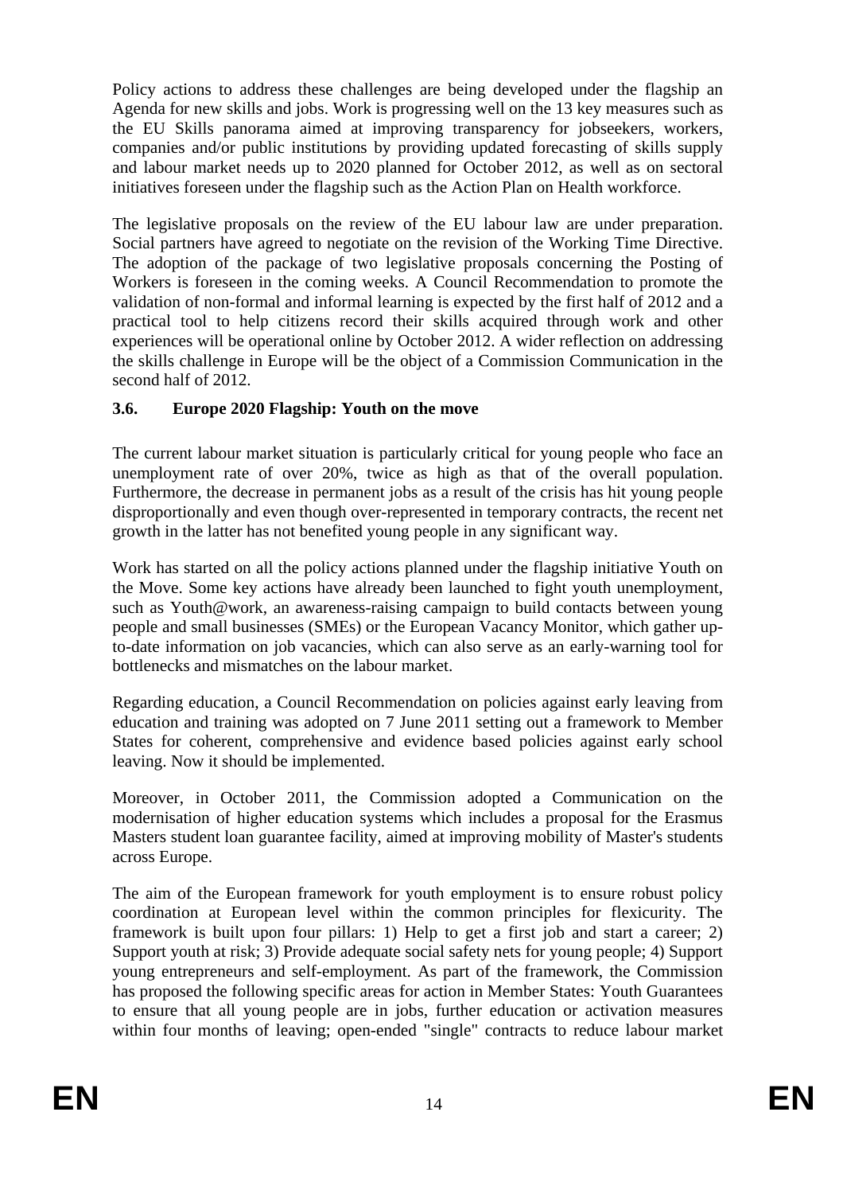Policy actions to address these challenges are being developed under the flagship an Agenda for new skills and jobs. Work is progressing well on the 13 key measures such as the EU Skills panorama aimed at improving transparency for jobseekers, workers, companies and/or public institutions by providing updated forecasting of skills supply and labour market needs up to 2020 planned for October 2012, as well as on sectoral initiatives foreseen under the flagship such as the Action Plan on Health workforce.

The legislative proposals on the review of the EU labour law are under preparation. Social partners have agreed to negotiate on the revision of the Working Time Directive. The adoption of the package of two legislative proposals concerning the Posting of Workers is foreseen in the coming weeks. A Council Recommendation to promote the validation of non-formal and informal learning is expected by the first half of 2012 and a practical tool to help citizens record their skills acquired through work and other experiences will be operational online by October 2012. A wider reflection on addressing the skills challenge in Europe will be the object of a Commission Communication in the second half of 2012.

# **3.6. Europe 2020 Flagship: Youth on the move**

The current labour market situation is particularly critical for young people who face an unemployment rate of over 20%, twice as high as that of the overall population. Furthermore, the decrease in permanent jobs as a result of the crisis has hit young people disproportionally and even though over-represented in temporary contracts, the recent net growth in the latter has not benefited young people in any significant way.

Work has started on all the policy actions planned under the flagship initiative Youth on the Move. Some key actions have already been launched to fight youth unemployment, such as Youth@work, an awareness-raising campaign to build contacts between young people and small businesses (SMEs) or the European Vacancy Monitor, which gather upto-date information on job vacancies, which can also serve as an early-warning tool for bottlenecks and mismatches on the labour market.

Regarding education, a Council Recommendation on policies against early leaving from education and training was adopted on 7 June 2011 setting out a framework to Member States for coherent, comprehensive and evidence based policies against early school leaving. Now it should be implemented.

Moreover, in October 2011, the Commission adopted a Communication on the modernisation of higher education systems which includes a proposal for the Erasmus Masters student loan guarantee facility, aimed at improving mobility of Master's students across Europe.

The aim of the European framework for youth employment is to ensure robust policy coordination at European level within the common principles for flexicurity. The framework is built upon four pillars: 1) Help to get a first job and start a career; 2) Support youth at risk; 3) Provide adequate social safety nets for young people; 4) Support young entrepreneurs and self-employment. As part of the framework, the Commission has proposed the following specific areas for action in Member States: Youth Guarantees to ensure that all young people are in jobs, further education or activation measures within four months of leaving; open-ended "single" contracts to reduce labour market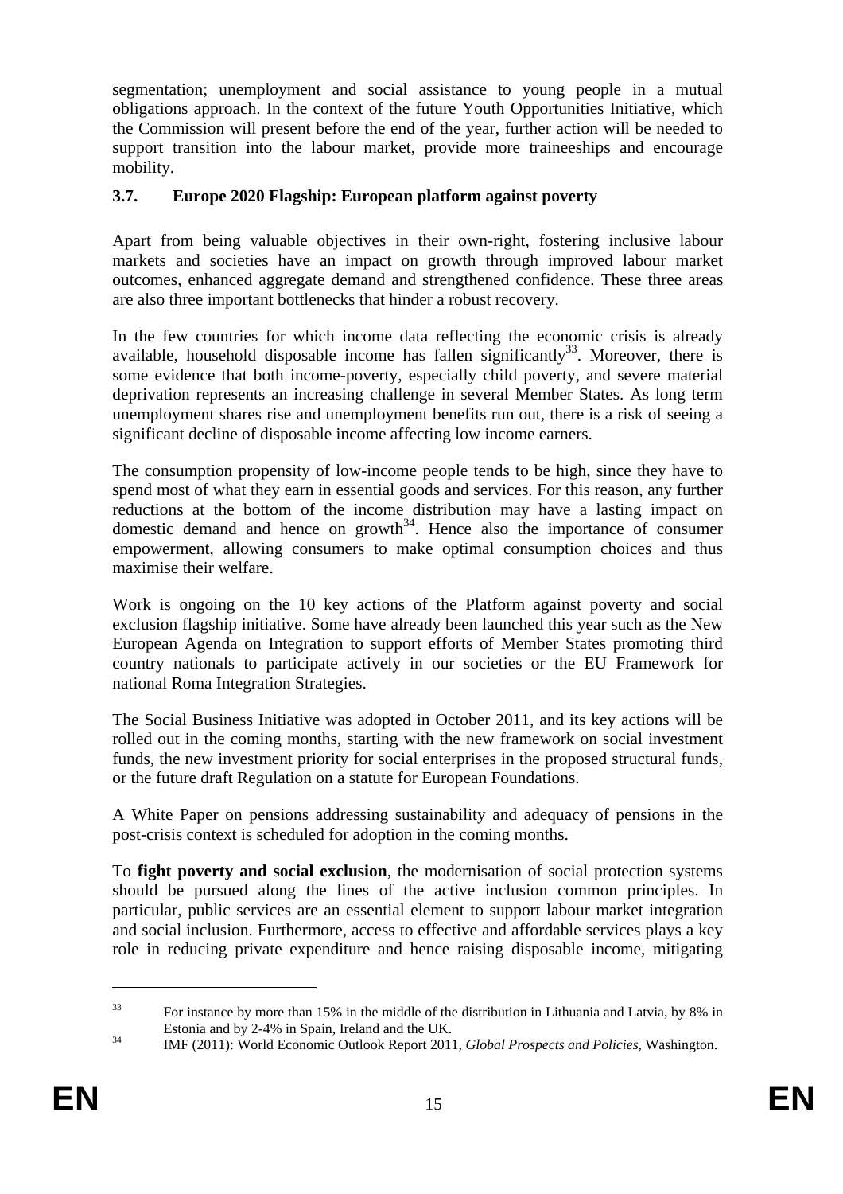segmentation; unemployment and social assistance to young people in a mutual obligations approach. In the context of the future Youth Opportunities Initiative, which the Commission will present before the end of the year, further action will be needed to support transition into the labour market, provide more traineeships and encourage mobility.

### **3.7. Europe 2020 Flagship: European platform against poverty**

Apart from being valuable objectives in their own-right, fostering inclusive labour markets and societies have an impact on growth through improved labour market outcomes, enhanced aggregate demand and strengthened confidence. These three areas are also three important bottlenecks that hinder a robust recovery.

In the few countries for which income data reflecting the economic crisis is already available, household disposable income has fallen significantly<sup>33</sup>. Moreover, there is some evidence that both income-poverty, especially child poverty, and severe material deprivation represents an increasing challenge in several Member States. As long term unemployment shares rise and unemployment benefits run out, there is a risk of seeing a significant decline of disposable income affecting low income earners.

The consumption propensity of low-income people tends to be high, since they have to spend most of what they earn in essential goods and services. For this reason, any further reductions at the bottom of the income distribution may have a lasting impact on domestic demand and hence on growth<sup>34</sup>. Hence also the importance of consumer empowerment, allowing consumers to make optimal consumption choices and thus maximise their welfare.

Work is ongoing on the 10 key actions of the Platform against poverty and social exclusion flagship initiative. Some have already been launched this year such as the New European Agenda on Integration to support efforts of Member States promoting third country nationals to participate actively in our societies or the EU Framework for national Roma Integration Strategies.

The Social Business Initiative was adopted in October 2011, and its key actions will be rolled out in the coming months, starting with the new framework on social investment funds, the new investment priority for social enterprises in the proposed structural funds, or the future draft Regulation on a statute for European Foundations.

A White Paper on pensions addressing sustainability and adequacy of pensions in the post-crisis context is scheduled for adoption in the coming months.

To **fight poverty and social exclusion**, the modernisation of social protection systems should be pursued along the lines of the active inclusion common principles. In particular, public services are an essential element to support labour market integration and social inclusion. Furthermore, access to effective and affordable services plays a key role in reducing private expenditure and hence raising disposable income, mitigating

<sup>&</sup>lt;sup>33</sup> For instance by more than 15% in the middle of the distribution in Lithuania and Latvia, by 8% in

Estonia and by 2-4% in Spain, Ireland and the UK. 34 IMF (2011): World Economic Outlook Report 2011, *Global Prospects and Policies*, Washington.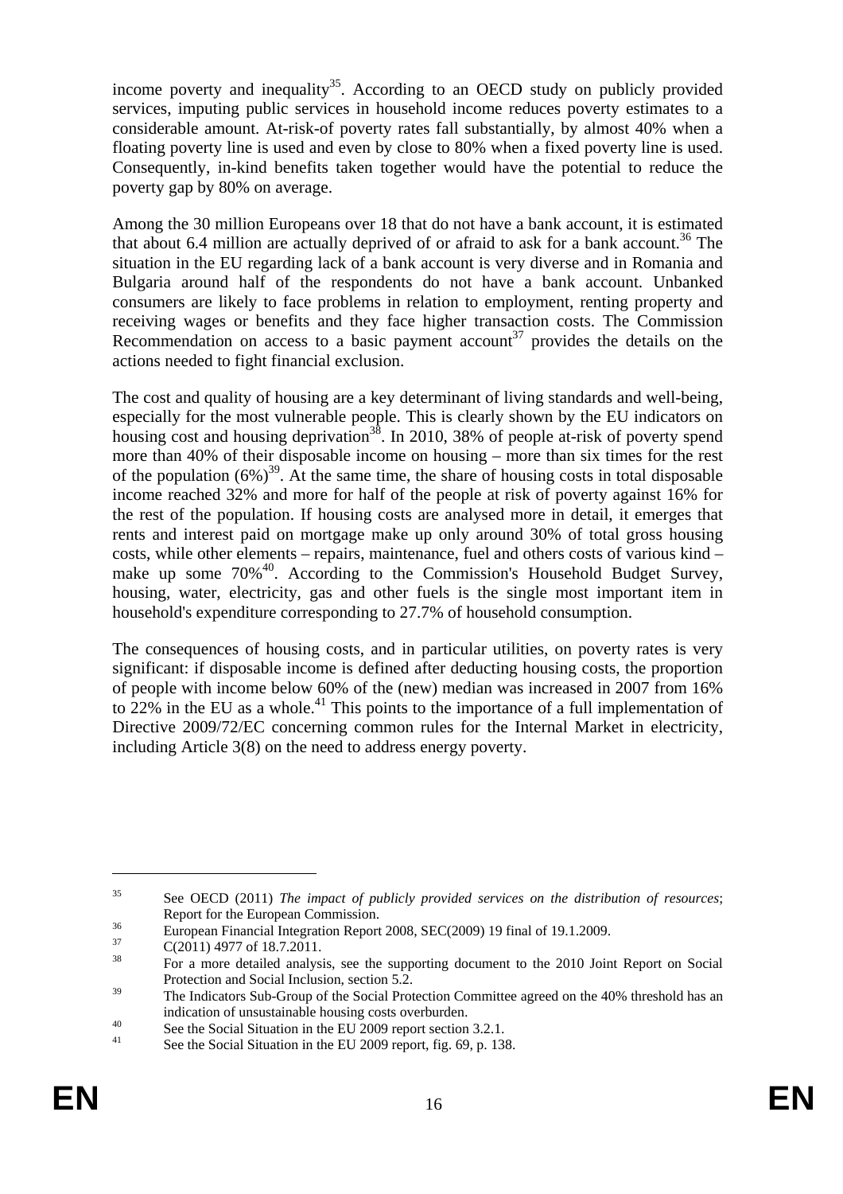income poverty and inequality<sup>35</sup>. According to an OECD study on publicly provided services, imputing public services in household income reduces poverty estimates to a considerable amount. At-risk-of poverty rates fall substantially, by almost 40% when a floating poverty line is used and even by close to 80% when a fixed poverty line is used. Consequently, in-kind benefits taken together would have the potential to reduce the poverty gap by 80% on average.

Among the 30 million Europeans over 18 that do not have a bank account, it is estimated that about 6.4 million are actually deprived of or afraid to ask for a bank account.<sup>36</sup> The situation in the EU regarding lack of a bank account is very diverse and in Romania and Bulgaria around half of the respondents do not have a bank account. Unbanked consumers are likely to face problems in relation to employment, renting property and receiving wages or benefits and they face higher transaction costs. The Commission Recommendation on access to a basic payment account<sup>37</sup> provides the details on the actions needed to fight financial exclusion.

The cost and quality of housing are a key determinant of living standards and well-being, especially for the most vulnerable people. This is clearly shown by the EU indicators on housing cost and housing deprivation<sup>38</sup>. In 2010, 38% of people at-risk of poverty spend more than 40% of their disposable income on housing – more than six times for the rest of the population  $(6\%)^{39}$ . At the same time, the share of housing costs in total disposable income reached 32% and more for half of the people at risk of poverty against 16% for the rest of the population. If housing costs are analysed more in detail, it emerges that rents and interest paid on mortgage make up only around 30% of total gross housing costs, while other elements – repairs, maintenance, fuel and others costs of various kind – make up some  $70\%$ <sup>40</sup>. According to the Commission's Household Budget Survey, housing, water, electricity, gas and other fuels is the single most important item in household's expenditure corresponding to 27.7% of household consumption.

The consequences of housing costs, and in particular utilities, on poverty rates is very significant: if disposable income is defined after deducting housing costs, the proportion of people with income below 60% of the (new) median was increased in 2007 from 16% to  $22\%$  in the EU as a whole.<sup>41</sup> This points to the importance of a full implementation of Directive 2009/72/EC concerning common rules for the Internal Market in electricity, including Article 3(8) on the need to address energy poverty.

<sup>35</sup> See OECD (2011) *The impact of publicly provided services on the distribution of resources*;

Report for the European Commission.<br>
<sup>36</sup> European Financial Integration Report 2008, SEC(2009) 19 final of 19.1.2009.<br>
<sup>37</sup> C(2001) 19.1.2009

 $^{37}$  C(2011) 4977 of 18.7.2011.

<sup>38</sup> For a more detailed analysis, see the supporting document to the 2010 Joint Report on Social Protection and Social Inclusion, section 5.2.

<sup>&</sup>lt;sup>39</sup> The Indicators Sub-Group of the Social Protection Committee agreed on the 40% threshold has an

indication of unsustainable housing costs overburden.<br>
See the Social Situation in the EU 2009 report section 3.2.1.

See the Social Situation in the EU 2009 report, fig. 69, p. 138.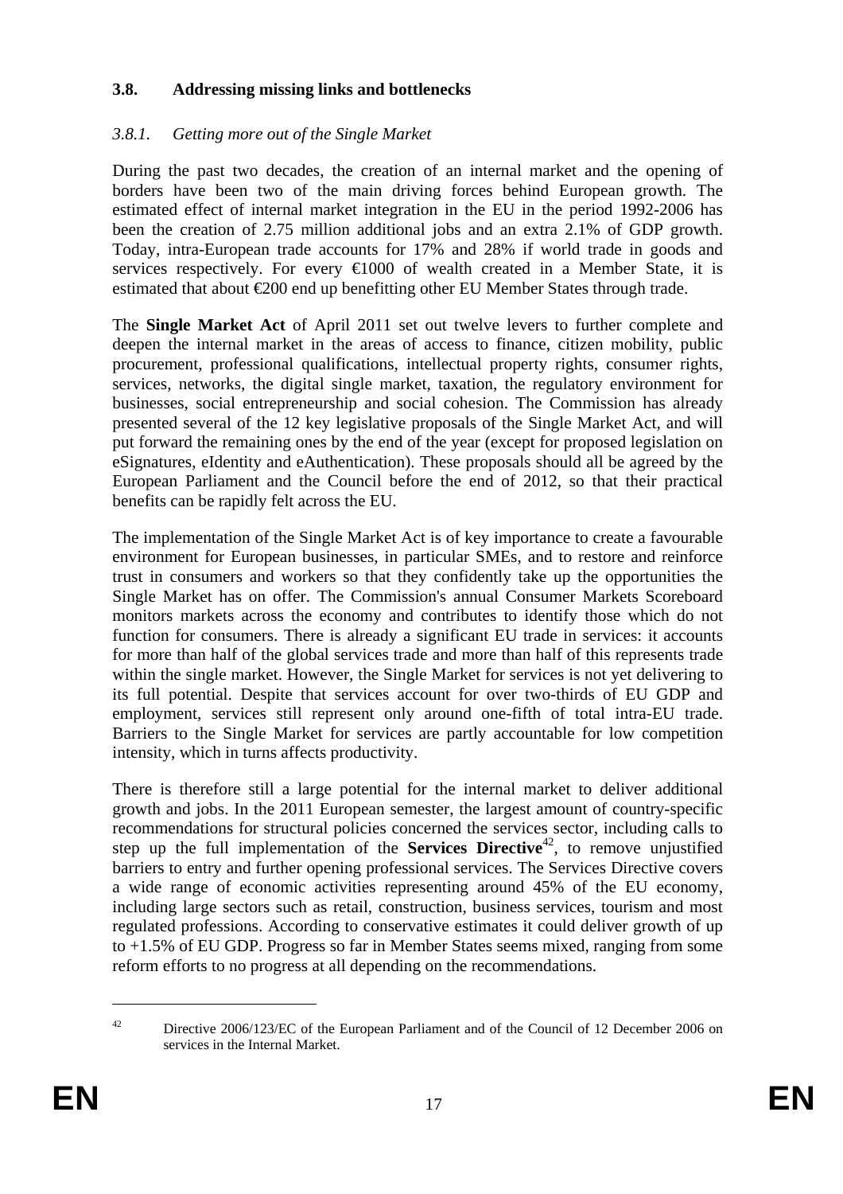## **3.8. Addressing missing links and bottlenecks**

# *3.8.1. Getting more out of the Single Market*

During the past two decades, the creation of an internal market and the opening of borders have been two of the main driving forces behind European growth. The estimated effect of internal market integration in the EU in the period 1992-2006 has been the creation of 2.75 million additional jobs and an extra 2.1% of GDP growth. Today, intra-European trade accounts for 17% and 28% if world trade in goods and services respectively. For every  $\bigoplus$  000 of wealth created in a Member State, it is estimated that about  $\epsilon 200$  end up benefitting other EU Member States through trade.

The **Single Market Act** of April 2011 set out twelve levers to further complete and deepen the internal market in the areas of access to finance, citizen mobility, public procurement, professional qualifications, intellectual property rights, consumer rights, services, networks, the digital single market, taxation, the regulatory environment for businesses, social entrepreneurship and social cohesion. The Commission has already presented several of the 12 key legislative proposals of the Single Market Act, and will put forward the remaining ones by the end of the year (except for proposed legislation on eSignatures, eIdentity and eAuthentication). These proposals should all be agreed by the European Parliament and the Council before the end of 2012, so that their practical benefits can be rapidly felt across the EU.

The implementation of the Single Market Act is of key importance to create a favourable environment for European businesses, in particular SMEs, and to restore and reinforce trust in consumers and workers so that they confidently take up the opportunities the Single Market has on offer. The Commission's annual Consumer Markets Scoreboard monitors markets across the economy and contributes to identify those which do not function for consumers. There is already a significant EU trade in services: it accounts for more than half of the global services trade and more than half of this represents trade within the single market. However, the Single Market for services is not yet delivering to its full potential. Despite that services account for over two-thirds of EU GDP and employment, services still represent only around one-fifth of total intra-EU trade. Barriers to the Single Market for services are partly accountable for low competition intensity, which in turns affects productivity.

There is therefore still a large potential for the internal market to deliver additional growth and jobs. In the 2011 European semester, the largest amount of country-specific recommendations for structural policies concerned the services sector, including calls to step up the full implementation of the **Services Directive**<sup>42</sup>, to remove unjustified barriers to entry and further opening professional services. The Services Directive covers a wide range of economic activities representing around 45% of the EU economy, including large sectors such as retail, construction, business services, tourism and most regulated professions. According to conservative estimates it could deliver growth of up to +1.5% of EU GDP. Progress so far in Member States seems mixed, ranging from some reform efforts to no progress at all depending on the recommendations.

<sup>&</sup>lt;sup>42</sup> Directive 2006/123/EC of the European Parliament and of the Council of 12 December 2006 on services in the Internal Market.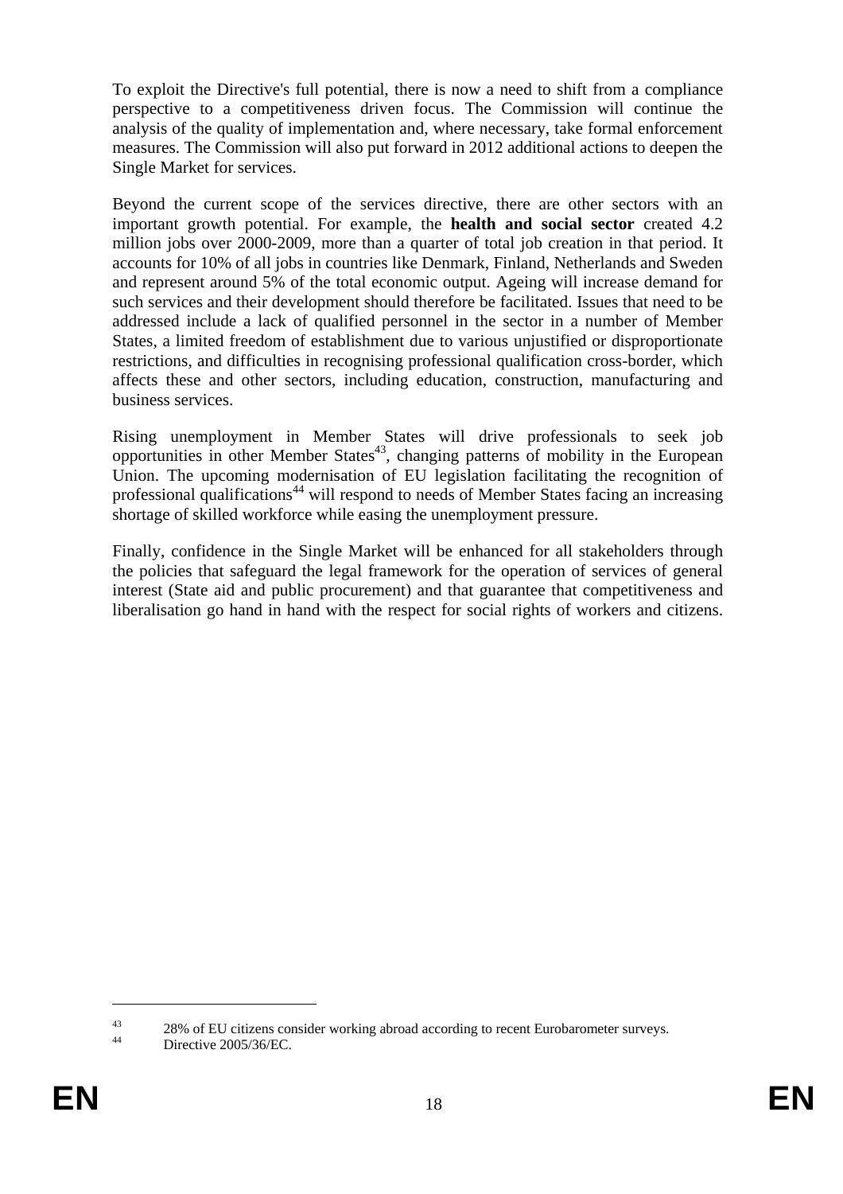To exploit the Directive's full potential, there is now a need to shift from a compliance perspective to a competitiveness driven focus. The Commission will continue the analysis of the quality of implementation and, where necessary, take formal enforcement measures. The Commission will also put forward in 2012 additional actions to deepen the Single Market for services.

Beyond the current scope of the services directive, there are other sectors with an important growth potential. For example, the **health and social sector** created 4.2 million jobs over 2000-2009, more than a quarter of total job creation in that period. It accounts for 10% of all jobs in countries like Denmark, Finland, Netherlands and Sweden and represent around 5% of the total economic output. Ageing will increase demand for such services and their development should therefore be facilitated. Issues that need to be addressed include a lack of qualified personnel in the sector in a number of Member States, a limited freedom of establishment due to various unjustified or disproportionate restrictions, and difficulties in recognising professional qualification cross-border, which affects these and other sectors, including education, construction, manufacturing and business services.

Rising unemployment in Member States will drive professionals to seek job opportunities in other Member States<sup>43</sup>, changing patterns of mobility in the European Union. The upcoming modernisation of EU legislation facilitating the recognition of professional qualifications<sup>44</sup> will respond to needs of Member States facing an increasing shortage of skilled workforce while easing the unemployment pressure.

Finally, confidence in the Single Market will be enhanced for all stakeholders through the policies that safeguard the legal framework for the operation of services of general interest (State aid and public procurement) and that guarantee that competitiveness and liberalisation go hand in hand with the respect for social rights of workers and citizens.

<sup>&</sup>lt;sup>43</sup> 28% of EU citizens consider working abroad according to recent Eurobarometer surveys.<br>Directive 2005/36/EC.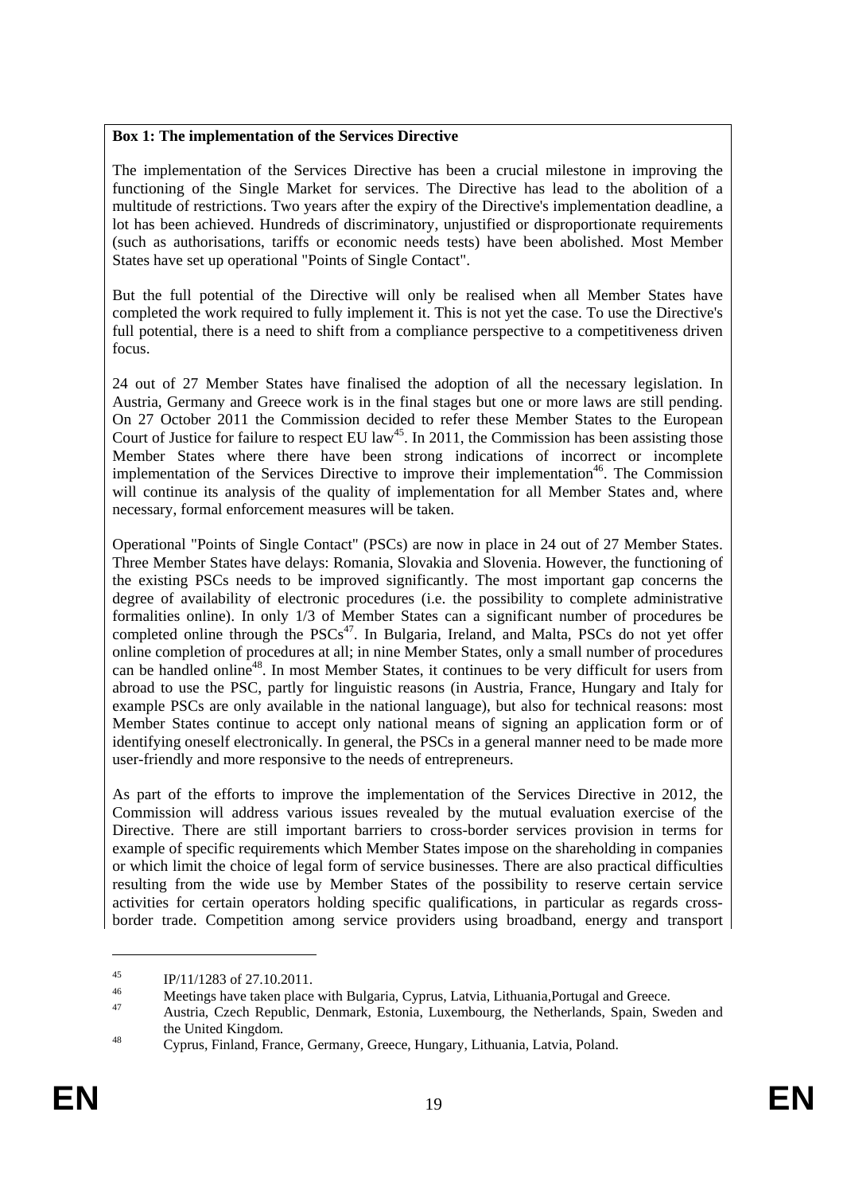#### **Box 1: The implementation of the Services Directive**

The implementation of the Services Directive has been a crucial milestone in improving the functioning of the Single Market for services. The Directive has lead to the abolition of a multitude of restrictions. Two years after the expiry of the Directive's implementation deadline, a lot has been achieved. Hundreds of discriminatory, unjustified or disproportionate requirements (such as authorisations, tariffs or economic needs tests) have been abolished. Most Member States have set up operational "Points of Single Contact".

But the full potential of the Directive will only be realised when all Member States have completed the work required to fully implement it. This is not yet the case. To use the Directive's full potential, there is a need to shift from a compliance perspective to a competitiveness driven focus.

24 out of 27 Member States have finalised the adoption of all the necessary legislation. In Austria, Germany and Greece work is in the final stages but one or more laws are still pending. On 27 October 2011 the Commission decided to refer these Member States to the European Court of Justice for failure to respect EU law<sup>45</sup>. In 2011, the Commission has been assisting those Member States where there have been strong indications of incorrect or incomplete implementation of the Services Directive to improve their implementation<sup>46</sup>. The Commission will continue its analysis of the quality of implementation for all Member States and, where necessary, formal enforcement measures will be taken.

Operational "Points of Single Contact" (PSCs) are now in place in 24 out of 27 Member States. Three Member States have delays: Romania, Slovakia and Slovenia. However, the functioning of the existing PSCs needs to be improved significantly. The most important gap concerns the degree of availability of electronic procedures (i.e. the possibility to complete administrative formalities online). In only 1/3 of Member States can a significant number of procedures be completed online through the  $PSCs<sup>47</sup>$ . In Bulgaria, Ireland, and Malta, PSCs do not yet offer online completion of procedures at all; in nine Member States, only a small number of procedures can be handled online<sup>48</sup>. In most Member States, it continues to be very difficult for users from abroad to use the PSC, partly for linguistic reasons (in Austria, France, Hungary and Italy for example PSCs are only available in the national language), but also for technical reasons: most Member States continue to accept only national means of signing an application form or of identifying oneself electronically. In general, the PSCs in a general manner need to be made more user-friendly and more responsive to the needs of entrepreneurs.

As part of the efforts to improve the implementation of the Services Directive in 2012, the Commission will address various issues revealed by the mutual evaluation exercise of the Directive. There are still important barriers to cross-border services provision in terms for example of specific requirements which Member States impose on the shareholding in companies or which limit the choice of legal form of service businesses. There are also practical difficulties resulting from the wide use by Member States of the possibility to reserve certain service activities for certain operators holding specific qualifications, in particular as regards crossborder trade. Competition among service providers using broadband, energy and transport

<sup>&</sup>lt;sup>45</sup> IP/11/1283 of 27.10.2011.

<sup>&</sup>lt;sup>46</sup> Meetings have taken place with Bulgaria, Cyprus, Latvia, Lithuania, Portugal and Greece.<br><sup>47</sup> Austria, Czech Republic, Denmark, Estonia, Luxembourg, the Netherlands, Spain, Sweden and the United Kingdom.<br><sup>48</sup> Cyprus, Finland, France, Germany, Greece, Hungary, Lithuania, Latvia, Poland.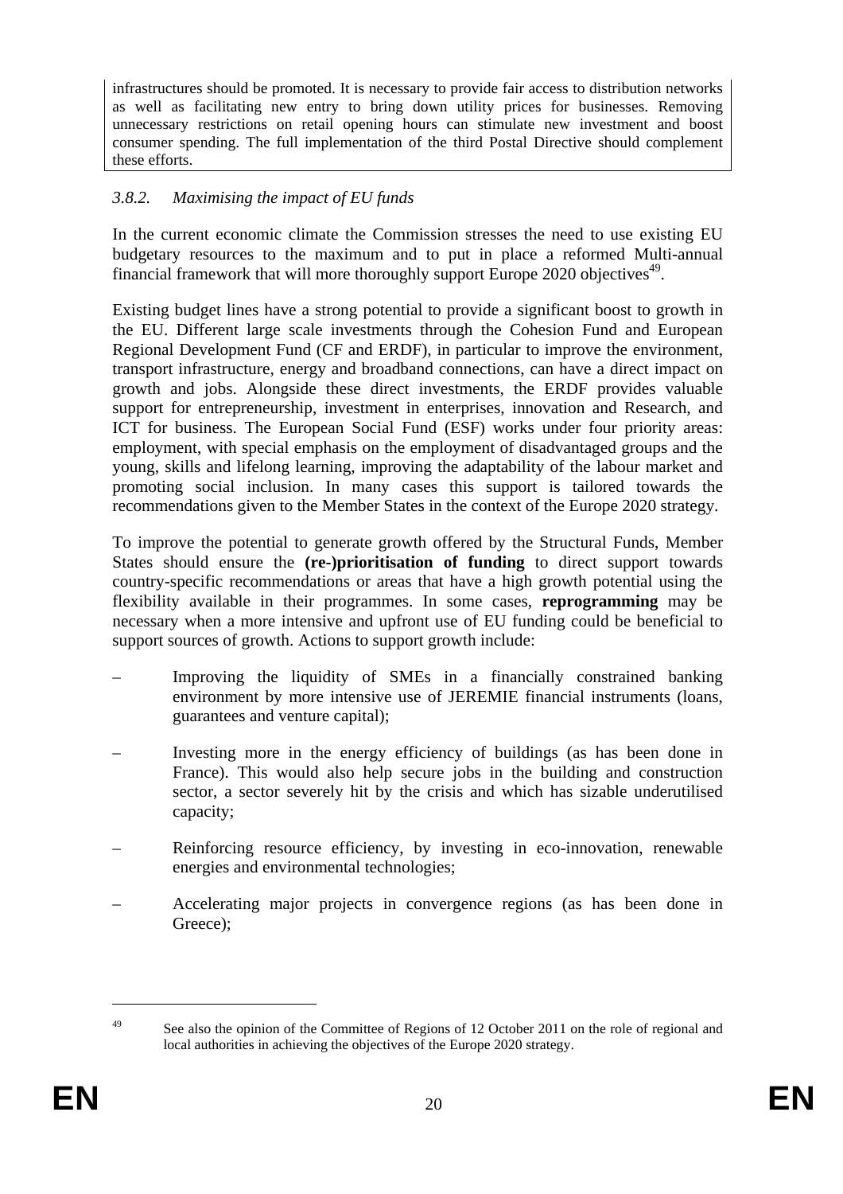infrastructures should be promoted. It is necessary to provide fair access to distribution networks as well as facilitating new entry to bring down utility prices for businesses. Removing unnecessary restrictions on retail opening hours can stimulate new investment and boost consumer spending. The full implementation of the third Postal Directive should complement these efforts.

## *3.8.2. Maximising the impact of EU funds*

In the current economic climate the Commission stresses the need to use existing EU budgetary resources to the maximum and to put in place a reformed Multi-annual financial framework that will more thoroughly support Europe 2020 objectives<sup>49</sup>.

Existing budget lines have a strong potential to provide a significant boost to growth in the EU. Different large scale investments through the Cohesion Fund and European Regional Development Fund (CF and ERDF), in particular to improve the environment, transport infrastructure, energy and broadband connections, can have a direct impact on growth and jobs. Alongside these direct investments, the ERDF provides valuable support for entrepreneurship, investment in enterprises, innovation and Research, and ICT for business. The European Social Fund (ESF) works under four priority areas: employment, with special emphasis on the employment of disadvantaged groups and the young, skills and lifelong learning, improving the adaptability of the labour market and promoting social inclusion. In many cases this support is tailored towards the recommendations given to the Member States in the context of the Europe 2020 strategy.

To improve the potential to generate growth offered by the Structural Funds, Member States should ensure the **(re-)prioritisation of funding** to direct support towards country-specific recommendations or areas that have a high growth potential using the flexibility available in their programmes. In some cases, **reprogramming** may be necessary when a more intensive and upfront use of EU funding could be beneficial to support sources of growth. Actions to support growth include:

- Improving the liquidity of SMEs in a financially constrained banking environment by more intensive use of JEREMIE financial instruments (loans, guarantees and venture capital);
- Investing more in the energy efficiency of buildings (as has been done in France). This would also help secure jobs in the building and construction sector, a sector severely hit by the crisis and which has sizable underutilised capacity;
- Reinforcing resource efficiency, by investing in eco-innovation, renewable energies and environmental technologies;
- Accelerating major projects in convergence regions (as has been done in Greece);

<sup>&</sup>lt;sup>49</sup> See also the opinion of the Committee of Regions of 12 October 2011 on the role of regional and local authorities in achieving the objectives of the Europe 2020 strategy.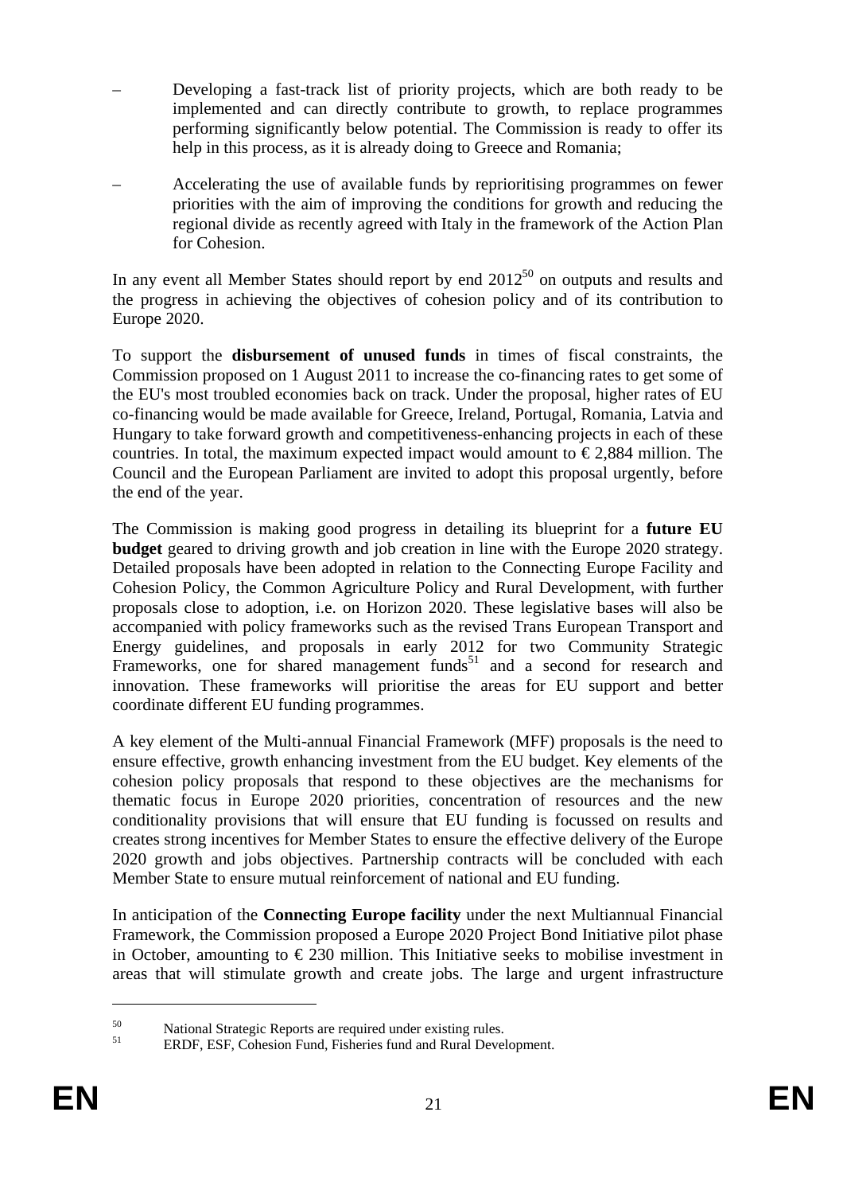- Developing a fast-track list of priority projects, which are both ready to be implemented and can directly contribute to growth, to replace programmes performing significantly below potential. The Commission is ready to offer its help in this process, as it is already doing to Greece and Romania;
- Accelerating the use of available funds by reprioritising programmes on fewer priorities with the aim of improving the conditions for growth and reducing the regional divide as recently agreed with Italy in the framework of the Action Plan for Cohesion.

In any event all Member States should report by end  $2012^{50}$  on outputs and results and the progress in achieving the objectives of cohesion policy and of its contribution to Europe 2020.

To support the **disbursement of unused funds** in times of fiscal constraints, the Commission proposed on 1 August 2011 to increase the co-financing rates to get some of the EU's most troubled economies back on track. Under the proposal, higher rates of EU co-financing would be made available for Greece, Ireland, Portugal, Romania, Latvia and Hungary to take forward growth and competitiveness-enhancing projects in each of these countries. In total, the maximum expected impact would amount to  $\epsilon$  2,884 million. The Council and the European Parliament are invited to adopt this proposal urgently, before the end of the year.

The Commission is making good progress in detailing its blueprint for a **future EU budget** geared to driving growth and job creation in line with the Europe 2020 strategy. Detailed proposals have been adopted in relation to the Connecting Europe Facility and Cohesion Policy, the Common Agriculture Policy and Rural Development, with further proposals close to adoption, i.e. on Horizon 2020. These legislative bases will also be accompanied with policy frameworks such as the revised Trans European Transport and Energy guidelines, and proposals in early 2012 for two Community Strategic Frameworks, one for shared management funds<sup>51</sup> and a second for research and innovation. These frameworks will prioritise the areas for EU support and better coordinate different EU funding programmes.

A key element of the Multi-annual Financial Framework (MFF) proposals is the need to ensure effective, growth enhancing investment from the EU budget. Key elements of the cohesion policy proposals that respond to these objectives are the mechanisms for thematic focus in Europe 2020 priorities, concentration of resources and the new conditionality provisions that will ensure that EU funding is focussed on results and creates strong incentives for Member States to ensure the effective delivery of the Europe 2020 growth and jobs objectives. Partnership contracts will be concluded with each Member State to ensure mutual reinforcement of national and EU funding.

In anticipation of the **Connecting Europe facility** under the next Multiannual Financial Framework, the Commission proposed a Europe 2020 Project Bond Initiative pilot phase in October, amounting to  $\epsilon$  230 million. This Initiative seeks to mobilise investment in areas that will stimulate growth and create jobs. The large and urgent infrastructure

<sup>&</sup>lt;sup>50</sup><br>National Strategic Reports are required under existing rules.

<sup>51</sup> ERDF, ESF, Cohesion Fund, Fisheries fund and Rural Development.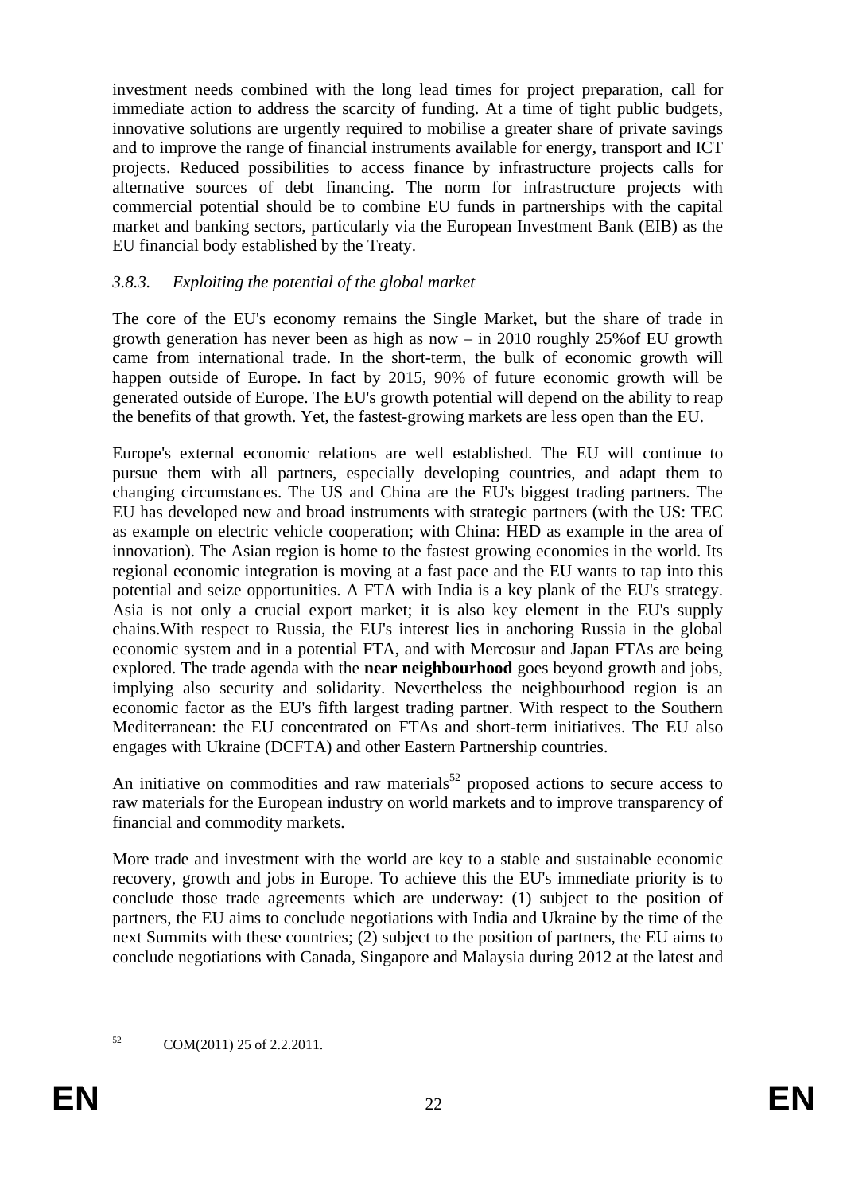investment needs combined with the long lead times for project preparation, call for immediate action to address the scarcity of funding. At a time of tight public budgets, innovative solutions are urgently required to mobilise a greater share of private savings and to improve the range of financial instruments available for energy, transport and ICT projects. Reduced possibilities to access finance by infrastructure projects calls for alternative sources of debt financing. The norm for infrastructure projects with commercial potential should be to combine EU funds in partnerships with the capital market and banking sectors, particularly via the European Investment Bank (EIB) as the EU financial body established by the Treaty.

## *3.8.3. Exploiting the potential of the global market*

The core of the EU's economy remains the Single Market, but the share of trade in growth generation has never been as high as now – in 2010 roughly 25%of EU growth came from international trade. In the short-term, the bulk of economic growth will happen outside of Europe. In fact by 2015, 90% of future economic growth will be generated outside of Europe. The EU's growth potential will depend on the ability to reap the benefits of that growth. Yet, the fastest-growing markets are less open than the EU.

Europe's external economic relations are well established. The EU will continue to pursue them with all partners, especially developing countries, and adapt them to changing circumstances. The US and China are the EU's biggest trading partners. The EU has developed new and broad instruments with strategic partners (with the US: TEC as example on electric vehicle cooperation; with China: HED as example in the area of innovation). The Asian region is home to the fastest growing economies in the world. Its regional economic integration is moving at a fast pace and the EU wants to tap into this potential and seize opportunities. A FTA with India is a key plank of the EU's strategy. Asia is not only a crucial export market; it is also key element in the EU's supply chains.With respect to Russia, the EU's interest lies in anchoring Russia in the global economic system and in a potential FTA, and with Mercosur and Japan FTAs are being explored. The trade agenda with the **near neighbourhood** goes beyond growth and jobs, implying also security and solidarity. Nevertheless the neighbourhood region is an economic factor as the EU's fifth largest trading partner. With respect to the Southern Mediterranean: the EU concentrated on FTAs and short-term initiatives. The EU also engages with Ukraine (DCFTA) and other Eastern Partnership countries.

An initiative on commodities and raw materials<sup>52</sup> proposed actions to secure access to raw materials for the European industry on world markets and to improve transparency of financial and commodity markets.

More trade and investment with the world are key to a stable and sustainable economic recovery, growth and jobs in Europe. To achieve this the EU's immediate priority is to conclude those trade agreements which are underway: (1) subject to the position of partners, the EU aims to conclude negotiations with India and Ukraine by the time of the next Summits with these countries; (2) subject to the position of partners, the EU aims to conclude negotiations with Canada, Singapore and Malaysia during 2012 at the latest and

<sup>52</sup> COM(2011) 25 of 2.2.2011.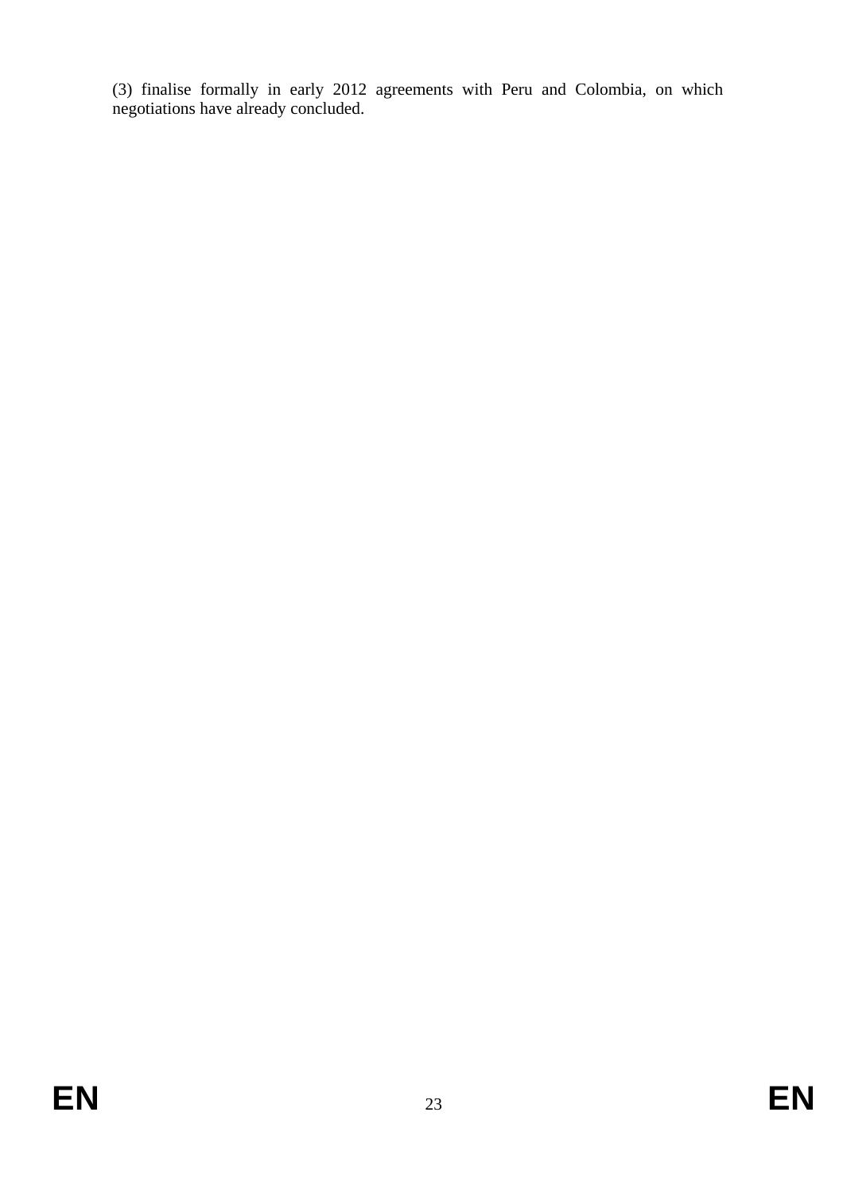(3) finalise formally in early 2012 agreements with Peru and Colombia, on which negotiations have already concluded.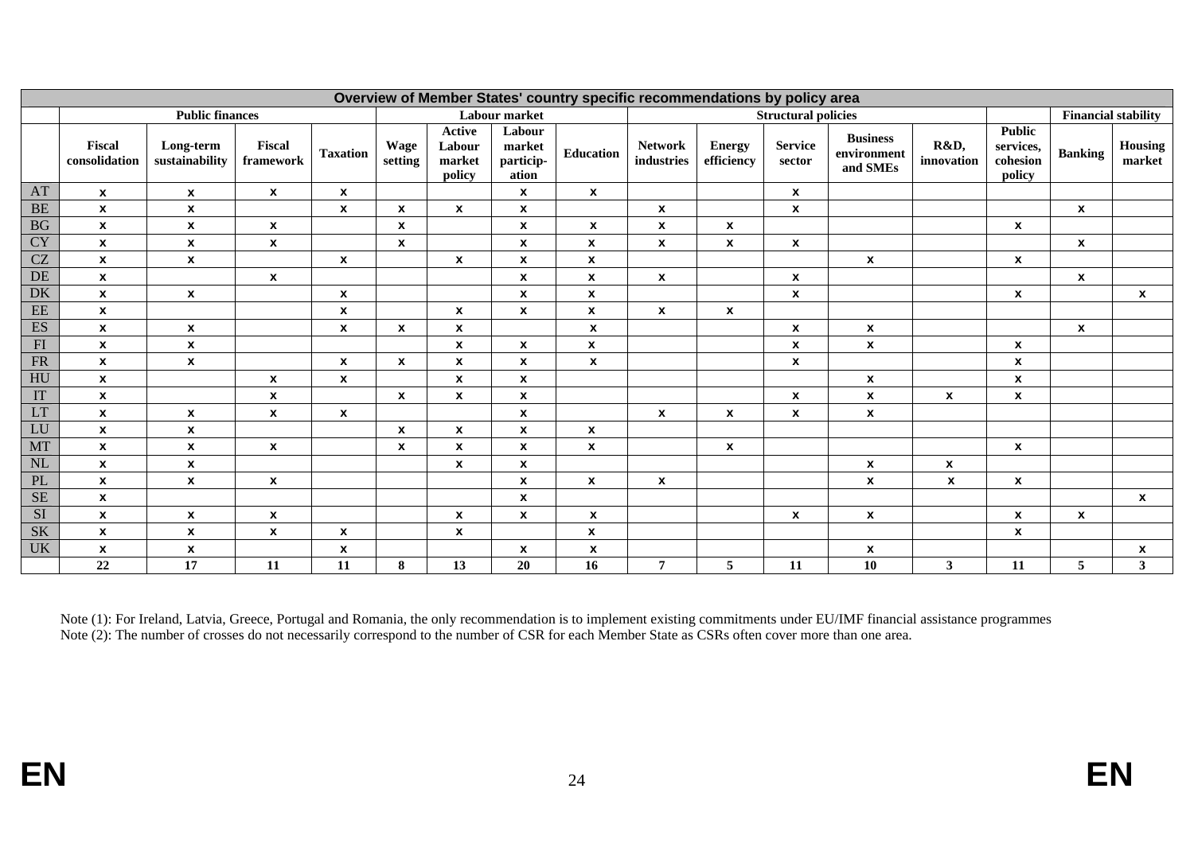| Overview of Member States' country specific recommendations by policy area |                           |                             |                           |                    |                    |                                             |                                        |                    |                              |                             |                          |                                            |                    |                                           |                            |                   |
|----------------------------------------------------------------------------|---------------------------|-----------------------------|---------------------------|--------------------|--------------------|---------------------------------------------|----------------------------------------|--------------------|------------------------------|-----------------------------|--------------------------|--------------------------------------------|--------------------|-------------------------------------------|----------------------------|-------------------|
|                                                                            | <b>Public finances</b>    |                             |                           |                    |                    | Labour market                               |                                        |                    |                              | <b>Structural policies</b>  |                          |                                            |                    |                                           | <b>Financial stability</b> |                   |
|                                                                            | Fiscal<br>consolidation   | Long-term<br>sustainability | Fiscal<br>framework       | <b>Taxation</b>    | Wage<br>setting    | <b>Active</b><br>Labour<br>market<br>policy | Labour<br>market<br>particip-<br>ation | Education          | <b>Network</b><br>industries | <b>Energy</b><br>efficiency | <b>Service</b><br>sector | <b>Business</b><br>environment<br>and SMEs | R&D,<br>innovation | Public<br>services,<br>cohesion<br>policy | <b>Banking</b>             | Housing<br>market |
| AT                                                                         | $\mathbf{x}$              | $\mathbf{x}$                | $\pmb{\chi}$              | $\boldsymbol{x}$   |                    |                                             | $\mathbf{x}$                           | $\mathbf{x}$       |                              |                             | X                        |                                            |                    |                                           |                            |                   |
| <b>BE</b>                                                                  | $\boldsymbol{\mathsf{x}}$ | $\pmb{\mathsf{x}}$          |                           | $\mathbf{x}$       | $\boldsymbol{x}$   | $\pmb{\mathsf{x}}$                          | $\mathbf{x}$                           |                    | $\boldsymbol{x}$             |                             | $\pmb{\mathsf{x}}$       |                                            |                    |                                           | $\mathbf{x}$               |                   |
| $\overline{BG}$                                                            | $\pmb{\chi}$              | $\mathbf{x}$                | $\boldsymbol{\mathsf{x}}$ |                    | $\boldsymbol{x}$   |                                             | $\mathbf{x}$                           | $\mathbf{x}$       | $\boldsymbol{x}$             | $\boldsymbol{x}$            |                          |                                            |                    | $\mathbf{x}$                              |                            |                   |
| CY                                                                         | $\boldsymbol{x}$          | $\mathbf{x}$                | $\pmb{\chi}$              |                    | $\boldsymbol{x}$   |                                             | $\boldsymbol{\mathsf{x}}$              | $\pmb{\chi}$       | $\boldsymbol{x}$             | $\pmb{\chi}$                | $\pmb{\mathsf{x}}$       |                                            |                    |                                           | $\mathbf{x}$               |                   |
| CZ                                                                         | $\pmb{\chi}$              | $\mathbf{x}$                |                           | $\mathbf{x}$       |                    | $\pmb{\chi}$                                | $\mathbf{x}$                           | $\pmb{\mathsf{x}}$ |                              |                             |                          | $\mathbf{x}$                               |                    | $\mathbf{x}$                              |                            |                   |
| DE                                                                         | $\pmb{\chi}$              |                             | $\boldsymbol{\mathsf{x}}$ |                    |                    |                                             | $\mathbf{x}$                           | $\pmb{\mathsf{x}}$ | $\boldsymbol{\mathsf{x}}$    |                             | $\pmb{\mathsf{x}}$       |                                            |                    |                                           | $\mathbf{x}$               |                   |
| <b>DK</b>                                                                  | $\boldsymbol{x}$          | $\mathbf{x}$                |                           | $\boldsymbol{x}$   |                    |                                             | $\mathbf{x}$                           | $\pmb{\mathsf{x}}$ |                              |                             | $\pmb{\chi}$             |                                            |                    | $\mathbf{x}$                              |                            | $\mathbf{x}$      |
| $\overline{\text{EE}}$                                                     | $\pmb{\chi}$              |                             |                           | $\boldsymbol{x}$   |                    | $\pmb{\mathsf{x}}$                          | $\mathbf{x}$                           | $\pmb{\mathsf{x}}$ | $\mathbf{x}$                 | $\mathbf{x}$                |                          |                                            |                    |                                           |                            |                   |
| <b>ES</b>                                                                  | $\pmb{\chi}$              | $\boldsymbol{x}$            |                           | $\pmb{\mathsf{x}}$ | $\pmb{\mathsf{x}}$ | $\pmb{\chi}$                                |                                        | $\boldsymbol{x}$   |                              |                             | $\pmb{\mathsf{x}}$       | $\pmb{\mathsf{x}}$                         |                    |                                           | $\boldsymbol{x}$           |                   |
| FI                                                                         | $\pmb{\chi}$              | $\boldsymbol{x}$            |                           |                    |                    | $\boldsymbol{x}$                            | $\mathbf{x}$                           | $\pmb{\chi}$       |                              |                             | $\pmb{\chi}$             | $\pmb{\chi}$                               |                    | $\mathbf{x}$                              |                            |                   |
| FR                                                                         | $\boldsymbol{\mathsf{x}}$ | $\boldsymbol{x}$            |                           | $\pmb{\mathsf{x}}$ | $\mathbf{x}$       | $\pmb{\mathsf{x}}$                          | $\boldsymbol{\mathsf{x}}$              | $\pmb{\chi}$       |                              |                             | $\pmb{\chi}$             |                                            |                    | $\boldsymbol{\mathsf{x}}$                 |                            |                   |
| HU                                                                         | $\pmb{\chi}$              |                             | $\pmb{\mathsf{x}}$        | $\mathbf{x}$       |                    | $\pmb{\chi}$                                | $\pmb{\mathsf{x}}$                     |                    |                              |                             |                          | $\pmb{\mathsf{x}}$                         |                    | $\pmb{\mathsf{x}}$                        |                            |                   |
| IT                                                                         | $\pmb{\chi}$              |                             | $\boldsymbol{\mathsf{x}}$ |                    | X                  | $\pmb{\chi}$                                | $\mathbf{x}$                           |                    |                              |                             | $\boldsymbol{x}$         | $\mathbf{x}$                               | $\mathbf{x}$       | $\mathbf{x}$                              |                            |                   |
| LT                                                                         | $\boldsymbol{\mathsf{x}}$ | $\mathbf{x}$                | $\pmb{\chi}$              | $\pmb{\mathsf{x}}$ |                    |                                             | $\boldsymbol{\mathsf{x}}$              |                    | $\boldsymbol{\mathsf{x}}$    | $\pmb{\chi}$                | $\pmb{\chi}$             | $\boldsymbol{x}$                           |                    |                                           |                            |                   |
| LU                                                                         | $\pmb{\chi}$              | $\boldsymbol{x}$            |                           |                    | $\boldsymbol{x}$   | $\pmb{\mathsf{x}}$                          | $\mathbf{x}$                           | $\pmb{\mathsf{x}}$ |                              |                             |                          |                                            |                    |                                           |                            |                   |
| <b>MT</b>                                                                  | $\boldsymbol{\mathsf{x}}$ | $\mathbf{x}$                | $\boldsymbol{\mathsf{x}}$ |                    | X                  | $\pmb{\chi}$                                | $\mathbf{x}$                           | $\boldsymbol{x}$   |                              | $\mathbf x$                 |                          |                                            |                    | $\mathbf{x}$                              |                            |                   |
| NL                                                                         | $\pmb{\chi}$              | $\boldsymbol{x}$            |                           |                    |                    | $\pmb{\mathsf{x}}$                          | $\pmb{\mathsf{x}}$                     |                    |                              |                             |                          | $\pmb{\mathsf{x}}$                         | $\pmb{\mathsf{x}}$ |                                           |                            |                   |
| PL                                                                         | $\pmb{\chi}$              | $\mathbf{x}$                | $\mathbf{x}$              |                    |                    |                                             | $\mathbf{x}$                           | $\mathbf{x}$       | $\mathbf{x}$                 |                             |                          | $\mathbf{x}$                               | $\mathbf{x}$       | $\mathbf{x}$                              |                            |                   |
| SE                                                                         | $\boldsymbol{\mathsf{x}}$ |                             |                           |                    |                    |                                             | $\mathbf{x}$                           |                    |                              |                             |                          |                                            |                    |                                           |                            | $\mathbf{x}$      |
| SI                                                                         | $\pmb{\chi}$              | $\boldsymbol{x}$            | $\pmb{\chi}$              |                    |                    | $\pmb{\chi}$                                | $\mathbf{x}$                           | $\pmb{\chi}$       |                              |                             | $\pmb{\chi}$             | $\pmb{\mathsf{x}}$                         |                    | $\mathbf{x}$                              | $\mathbf{x}$               |                   |
| SK                                                                         | $\mathbf{x}$              | $\mathbf{x}$                | $\boldsymbol{\mathsf{x}}$ | $\pmb{\mathsf{x}}$ |                    | $\pmb{\chi}$                                |                                        | $\boldsymbol{x}$   |                              |                             |                          |                                            |                    | $\mathbf{x}$                              |                            |                   |
| <b>UK</b>                                                                  | $\pmb{\chi}$              | $\boldsymbol{x}$            |                           | $\pmb{\mathsf{x}}$ |                    |                                             | $\boldsymbol{\mathsf{x}}$              | $\pmb{\chi}$       |                              |                             |                          | $\boldsymbol{x}$                           |                    |                                           |                            | x                 |
|                                                                            | 22                        | 17                          | 11                        | 11                 | 8                  | 13                                          | 20                                     | 16                 | $\overline{7}$               | 5                           | 11                       | 10                                         | $\mathbf{3}$       | 11                                        | 5                          | $3^{\circ}$       |

Note (1): For Ireland, Latvia, Greece, Portugal and Romania, the only recommendation is to implement existing commitments under EU/IMF financial assistance programmes Note (2): The number of crosses do not necessarily correspond to the number of CSR for each Member State as CSRs often cover more than one area.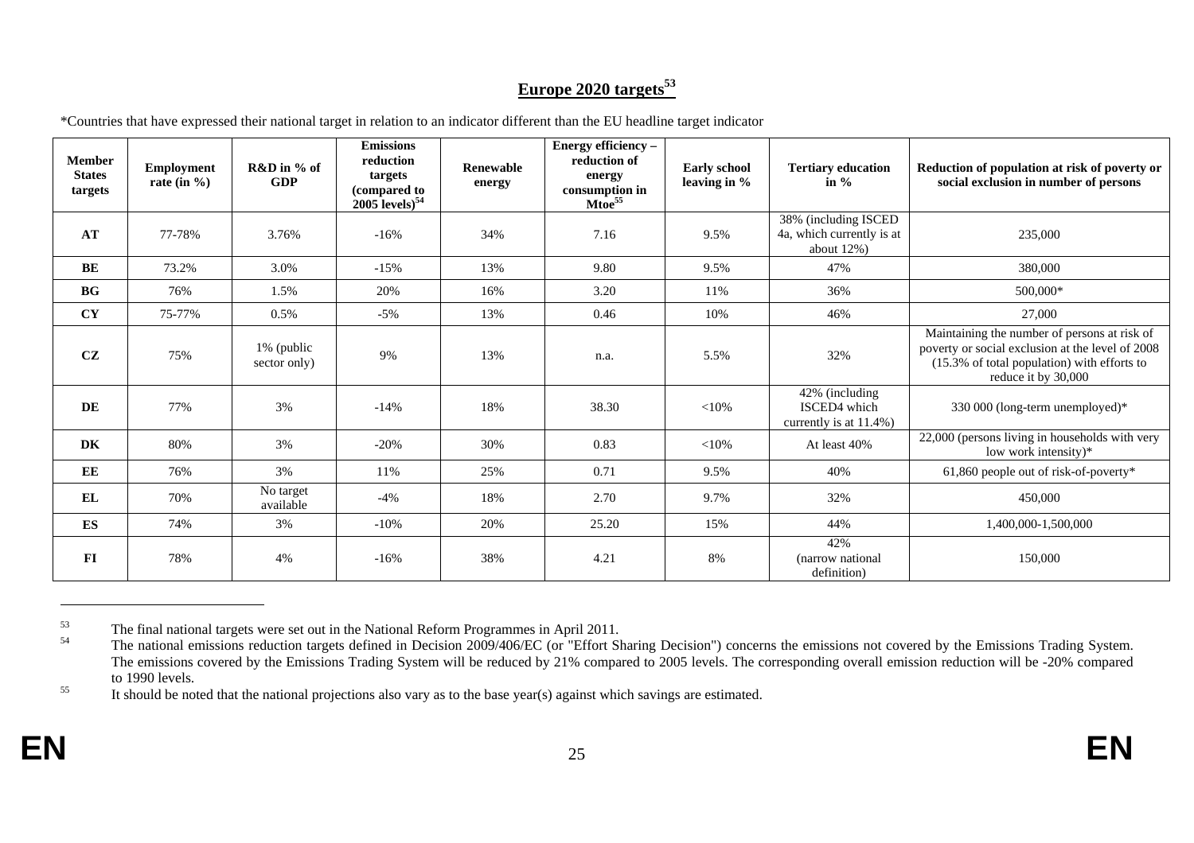# **Europe 2020 targets<sup>53</sup>**

| <b>Member</b><br><b>States</b><br>targets | <b>Employment</b><br>rate (in $\%$ ) | R&D in % of<br><b>GDP</b>  | <b>Emissions</b><br>reduction<br>targets<br>(compared to<br>$2005$ levels) $54$ | <b>Renewable</b><br>energy | Energy efficiency -<br>reduction of<br>energy<br>$\frac{1}{\text{Cousumption in}}$ | <b>Early school</b><br>leaving in % | <b>Tertiary education</b><br>in $\%$                                | Reduction of population at risk of poverty or<br>social exclusion in number of persons                                                                                 |  |
|-------------------------------------------|--------------------------------------|----------------------------|---------------------------------------------------------------------------------|----------------------------|------------------------------------------------------------------------------------|-------------------------------------|---------------------------------------------------------------------|------------------------------------------------------------------------------------------------------------------------------------------------------------------------|--|
| AT                                        | 77-78%                               | 3.76%                      | $-16%$                                                                          | 34%                        | 7.16                                                                               | 9.5%                                | 38% (including ISCED<br>4a, which currently is at<br>about $12\%$ ) | 235,000                                                                                                                                                                |  |
| BE                                        | 73.2%                                | 3.0%                       | $-15%$                                                                          | 13%                        | 9.80                                                                               | 9.5%                                | 47%                                                                 | 380,000                                                                                                                                                                |  |
| <b>BG</b>                                 | 76%                                  | 1.5%                       | 20%                                                                             | 16%                        | 3.20                                                                               | 11%                                 | 36%                                                                 | 500,000*                                                                                                                                                               |  |
| CY                                        | 75-77%                               | 0.5%                       | $-5%$                                                                           | 13%                        | 0.46                                                                               | 10%                                 | 46%                                                                 | 27,000                                                                                                                                                                 |  |
| CZ                                        | 75%                                  | 1% (public<br>sector only) | 9%                                                                              | 13%                        | n.a.                                                                               | 5.5%                                | 32%                                                                 | Maintaining the number of persons at risk of<br>poverty or social exclusion at the level of 2008<br>(15.3% of total population) with efforts to<br>reduce it by 30,000 |  |
| DE                                        | 77%                                  | 3%                         | $-14%$                                                                          | 18%                        | 38.30                                                                              | ${<}10%$                            | 42% (including<br>ISCED4 which<br>currently is at 11.4%)            | 330 000 (long-term unemployed)*                                                                                                                                        |  |
| <b>DK</b>                                 | 80%                                  | 3%                         | $-20%$                                                                          | 30%                        | 0.83                                                                               | < 10%                               | At least 40%                                                        | 22,000 (persons living in households with very<br>low work intensity)*                                                                                                 |  |
| EE                                        | 76%                                  | 3%                         | 11%                                                                             | 25%                        | 0.71                                                                               | 9.5%                                | 40%                                                                 | 61,860 people out of risk-of-poverty*                                                                                                                                  |  |
| EL                                        | 70%                                  | No target<br>available     | $-4%$                                                                           | 18%                        | 2.70                                                                               | 9.7%                                | 32%                                                                 | 450,000                                                                                                                                                                |  |
| <b>ES</b>                                 | 74%                                  | 3%                         | $-10%$                                                                          | 20%                        | 25.20                                                                              | 15%                                 | 44%                                                                 | 1,400,000-1,500,000                                                                                                                                                    |  |
| F1                                        | 78%                                  | 4%                         | $-16%$                                                                          | 38%                        | 4.21                                                                               | 8%                                  | 42%<br>(narrow national)<br>definition)                             | 150,000                                                                                                                                                                |  |

\*Countries that have expressed their national target in relation to an indicator different than the EU headline target indicator

<sup>&</sup>lt;sup>53</sup> The final national targets were set out in the National Reform Programmes in April 2011.<br><sup>54</sup> The national emissions reduction targets defined in Decision 2000/406/EC (or "Effect St"

The national emissions reduction targets defined in Decision 2009/406/EC (or "Effort Sharing Decision") concerns the emissions not covered by the Emissions Trading System. The emissions covered by the Emissions Trading System will be reduced by 21% compared to 2005 levels. The corresponding overall emission reduction will be -20% compared to 1990 levels.

<sup>&</sup>lt;sup>55</sup> It should be noted that the national projections also vary as to the base year(s) against which savings are estimated.